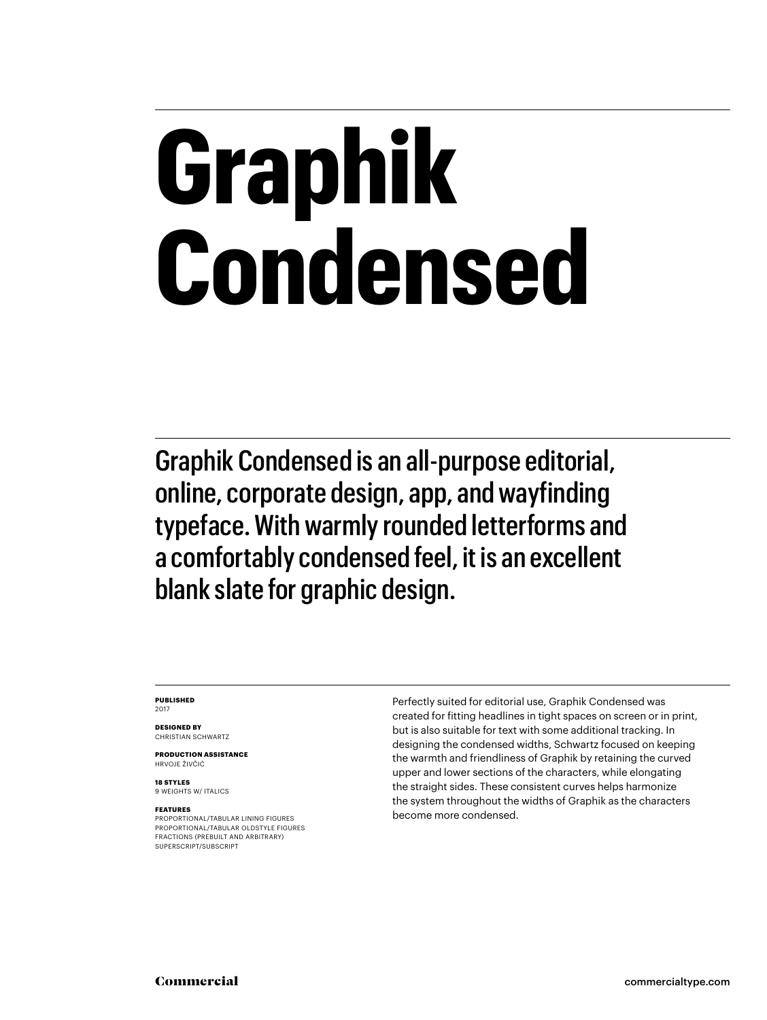## **Graphik Condensed**

Graphik Condensed is an all-purpose editorial, online, corporate design, app, and wayfinding typeface. With warmly rounded letterforms and a comfortably condensed feel, it is an excellent blank slate for graphic design.

#### **PUBLISHED** 2017

**DESIGNED BY** CHRISTIAN SCHWARTZ

**PRODUCTION ASSISTANCE** HRVOJE ŽIVČIĆ

**18 STYLES** 9 WEIGHTS W/ ITALICS

#### **FEATURES**

PROPORTIONAL/TABULAR LINING FIGURES PROPORTIONAL/TABULAR OLDSTYLE FIGURES FRACTIONS (PREBUILT AND ARBITRARY) SUPERSCRIPT/SUBSCRIPT

Perfectly suited for editorial use, Graphik Condensed was created for fitting headlines in tight spaces on screen or in print, but is also suitable for text with some additional tracking. In designing the condensed widths, Schwartz focused on keeping the warmth and friendliness of Graphik by retaining the curved upper and lower sections of the characters, while elongating the straight sides. These consistent curves helps harmonize the system throughout the widths of Graphik as the characters become more condensed.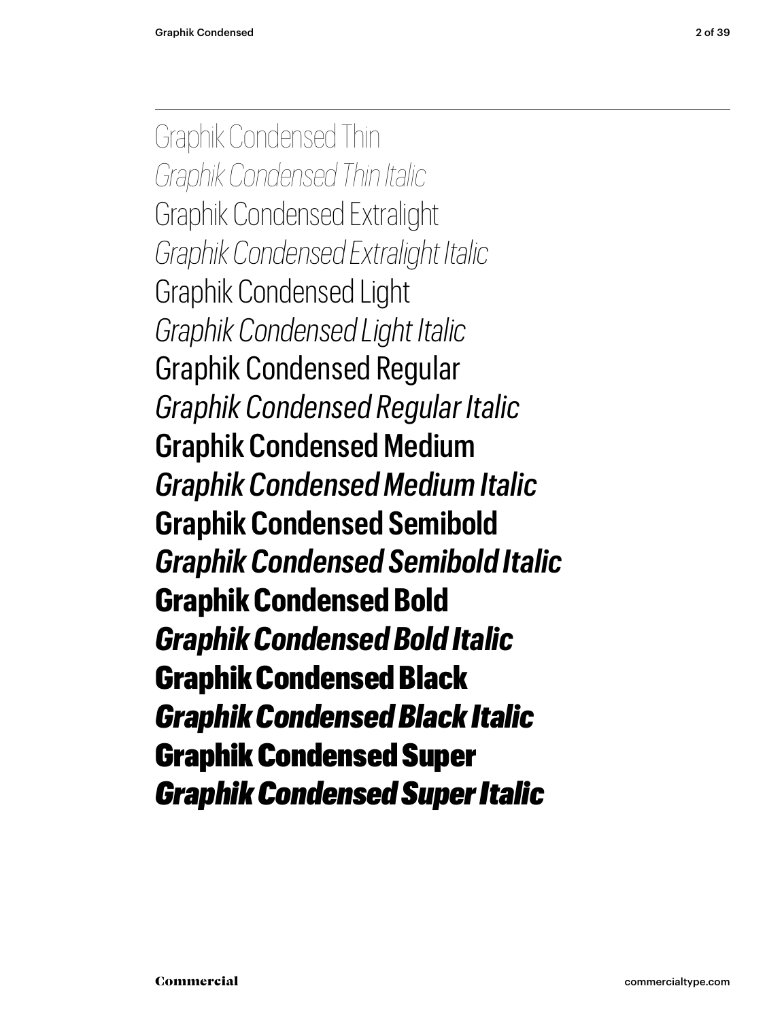Graphik Condensed Thin *Graphik Condensed Thin Italic* Graphik Condensed Extralight *Graphik Condensed Extralight Italic* Graphik Condensed Light *Graphik Condensed Light Italic* Graphik Condensed Regular *Graphik Condensed Regular Italic* Graphik Condensed Medium *Graphik Condensed Medium Italic* **Graphik Condensed Semibold** *Graphik Condensed Semibold Italic* **Graphik Condensed Bold** *Graphik Condensed Bold Italic* Graphik Condensed Black *Graphik Condensed Black Italic* Graphik Condensed Super *Graphik Condensed Super Italic*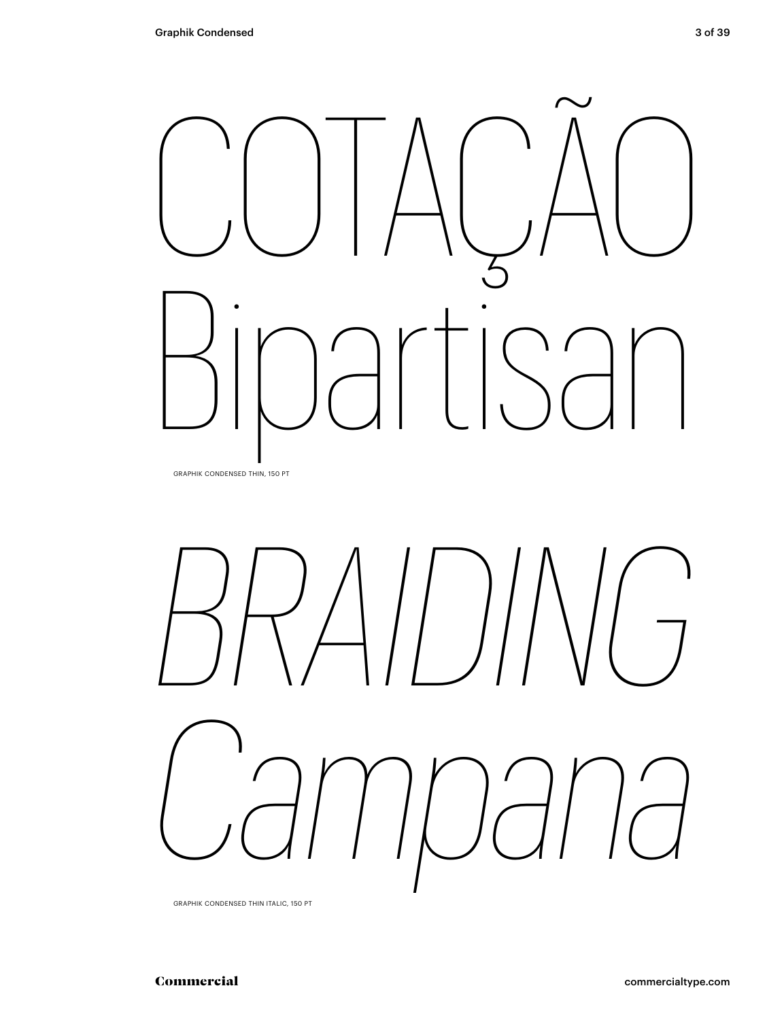



GRAPHIK CONDENSED THIN ITALIC, 150 PT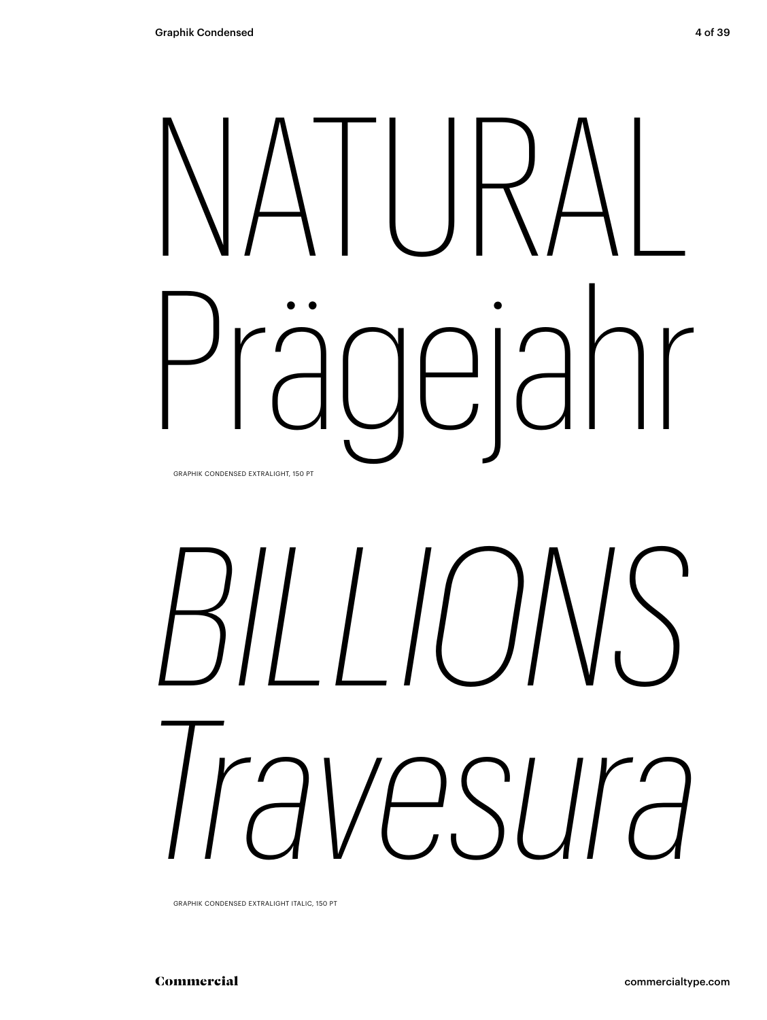## NATURAL Prägejahr GRAPHIK CONDENSED EXTRALIGHT, 150 PT

# *BILLIONS Travesura*

GRAPHIK CONDENSED EXTRALIGHT ITALIC, 150 PT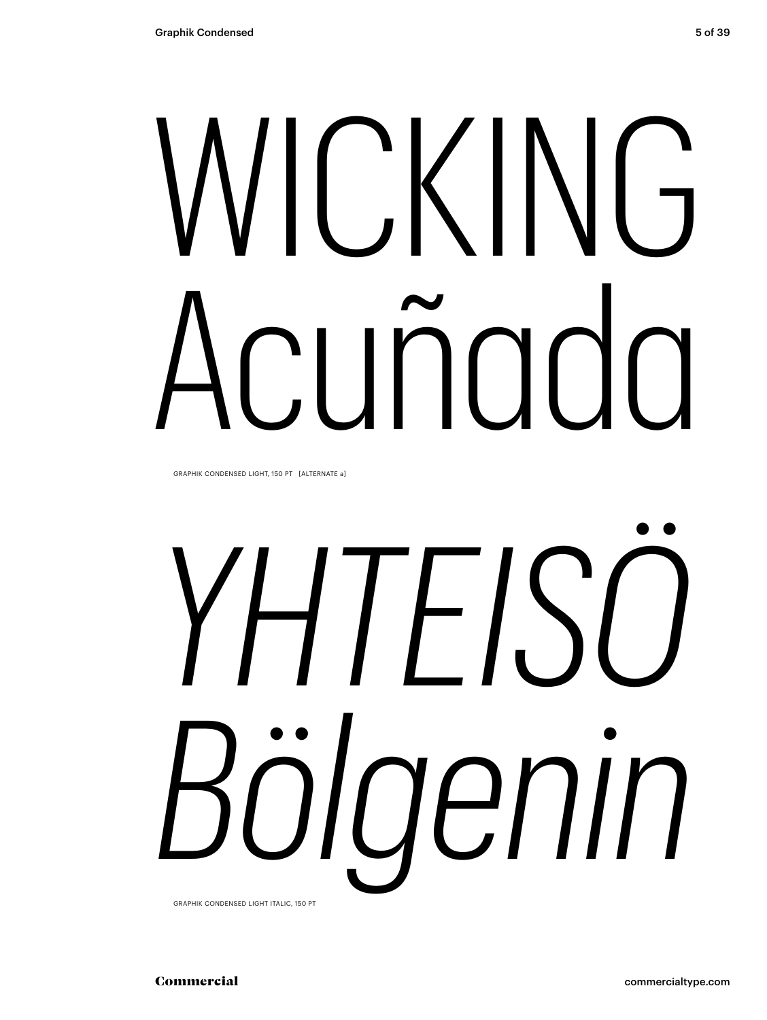# VICKING

GRAPHIK CONDENSED LIGHT, 150 PT [ALTERNATE a]

# YHIFISO ölaenin

GRAPHIK CONDENSED LIGHT ITALIC. 150 PT

5 of 39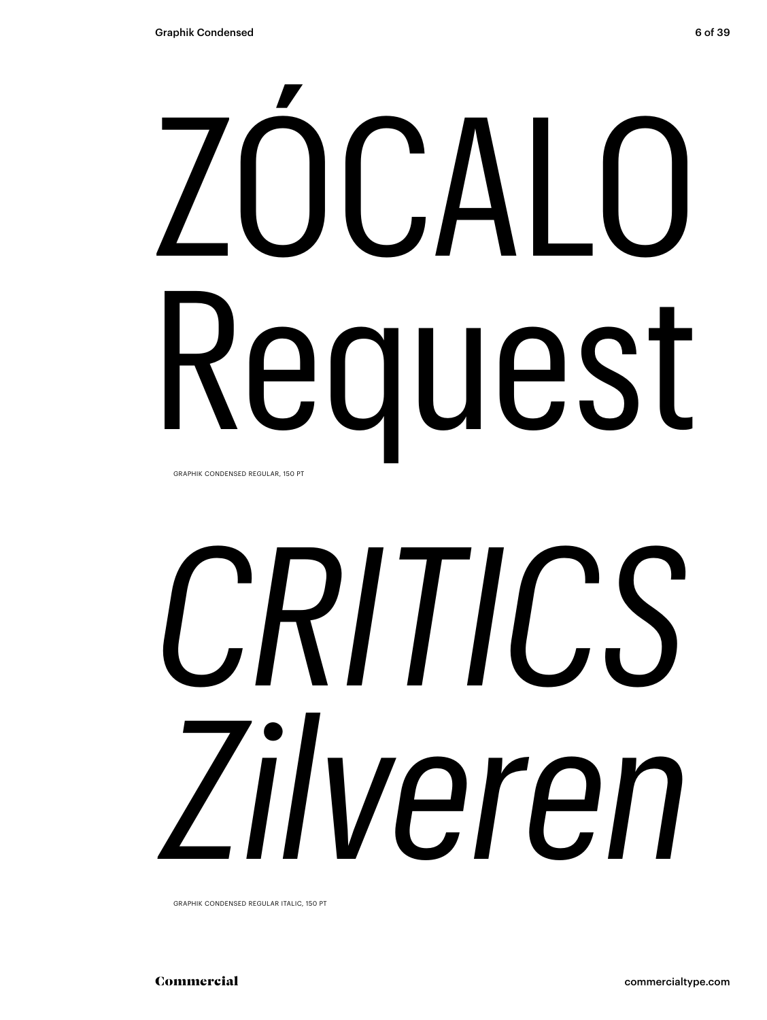# ZÓCALO Request GRAPHIK CONDENSED REGULAR, 150 PT

# *CRITICS Zilveren*

GRAPHIK CONDENSED REGULAR ITALIC, 150 PT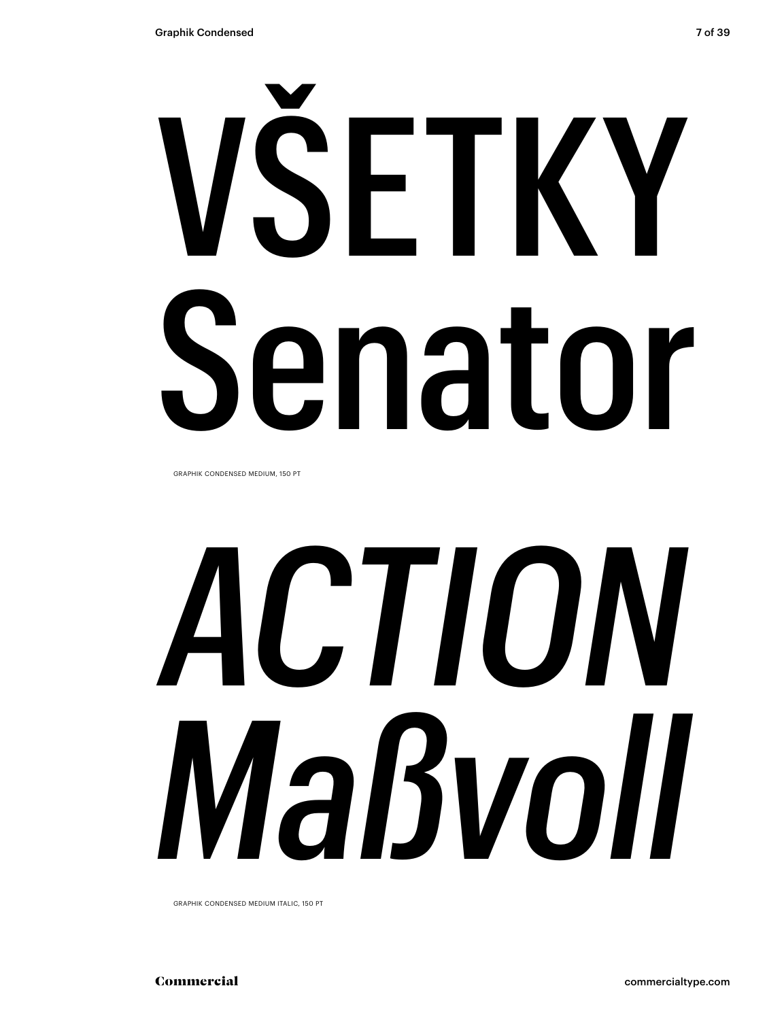# VŠETKY Senator

GRAPHIK CONDENSED MEDIUM, 150 PT

# *ACTION Maßvoll*

GRAPHIK CONDENSED MEDIUM ITALIC, 150 PT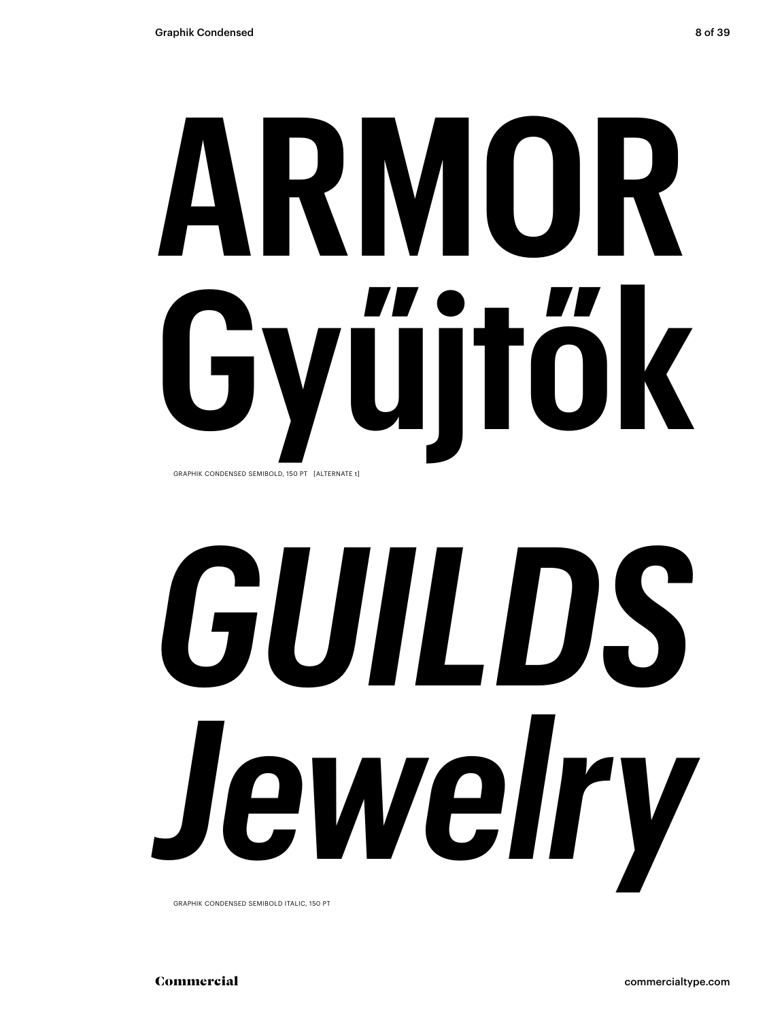## **ARMOR Gyűjtők** GRAPHIK CONDENSED SEMIBOLD, 150 PT [ALTERNATE t]

# *GUILDS Jewelry*

GRAPHIK CONDENSED SEMIBOLD ITALIC, 150 PT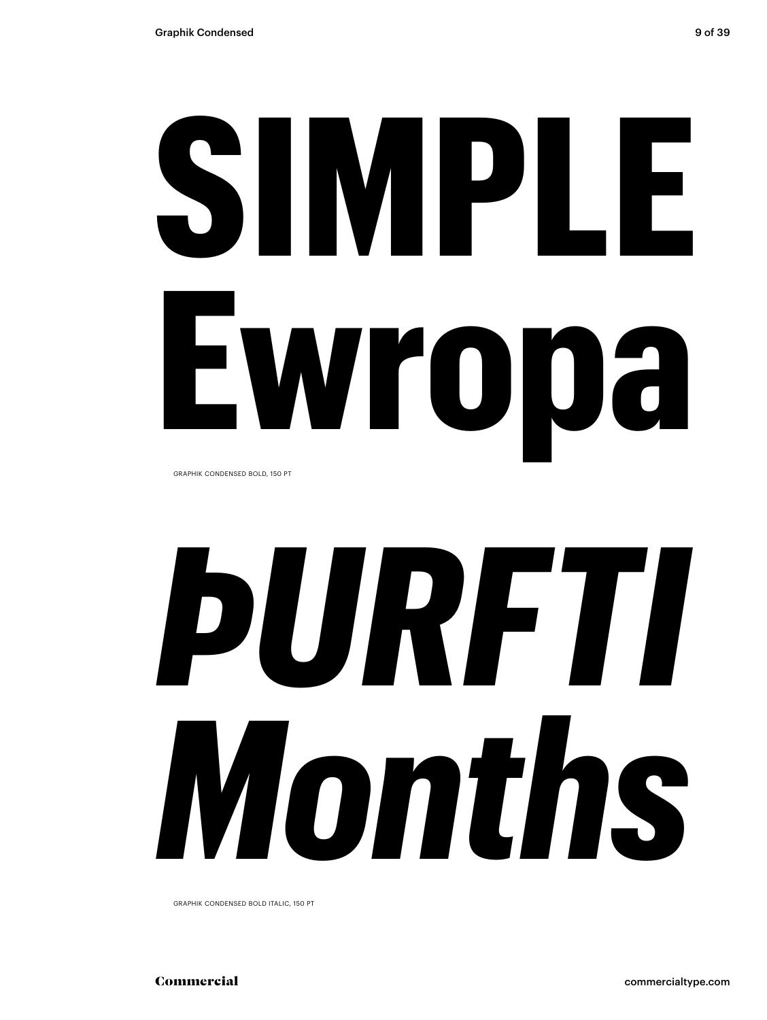# **SIMPLE Ewropa**

GRAPHIK CONDENSED BOLD, 150 PT

# *ÞURFTI Months*

GRAPHIK CONDENSED BOLD ITALIC, 150 PT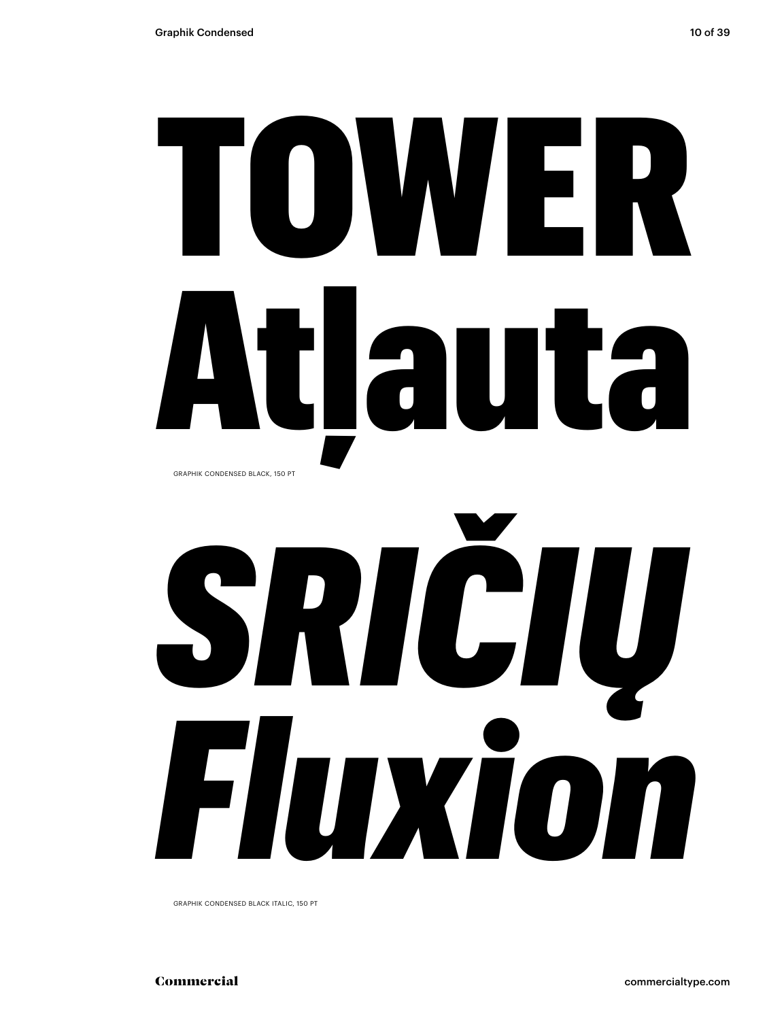## TOWER Atlauta GRAPHIK CONDENSED BLACK, 150 PT

# SRICIU Fluxion

GRAPHIK CONDENSED BLACK ITALIC, 150 PT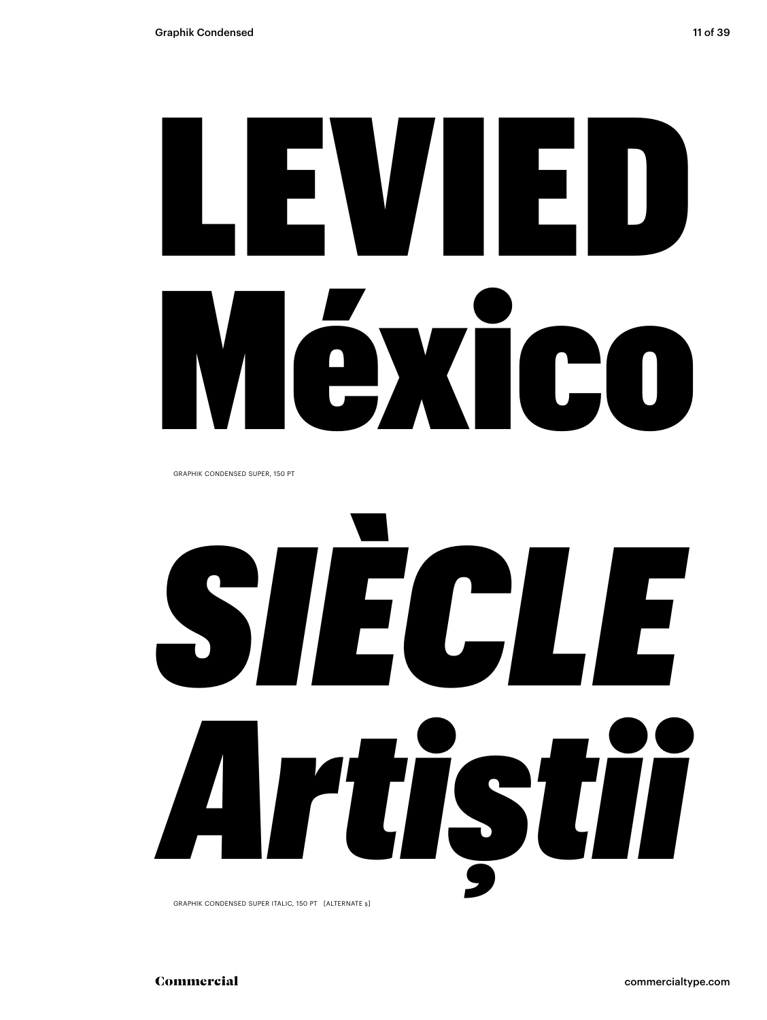# LEVIED México

GRAPHIK CONDENSED SUPER, 150 PT

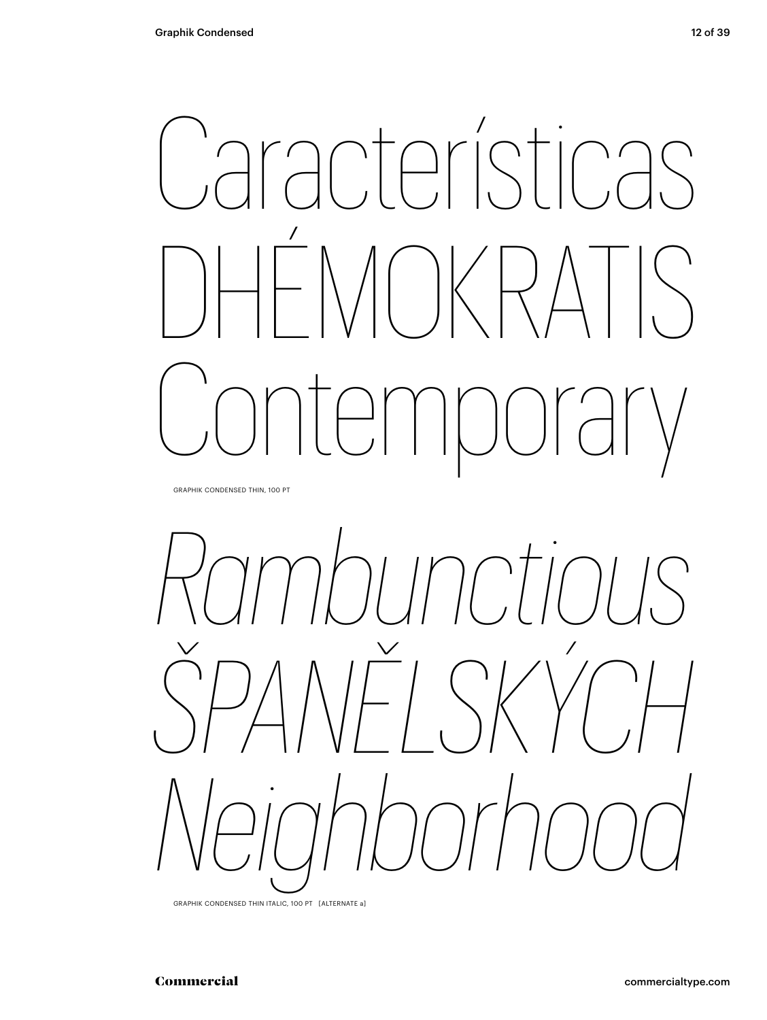### Características  $1/2$  $\bigvee$  $\bigcup_{i=1}^n \bigcap_{j=1}^n \bigcap_{j=1}^n \bigcap_{j=1}^n \bigcap_{j=1}^n \bigcap_{j=1}^n \bigcap_{j=1}^n \bigcap_{j=1}^n \bigcap_{j=1}^n \bigcap_{j=1}^n \bigcap_{j=1}^n \bigcap_{j=1}^n \bigcap_{j=1}^n \bigcap_{j=1}^n \bigcap_{j=1}^n \bigcap_{j=1}^n \bigcap_{j=1}^n \bigcap_{j=1}^n \bigcap_{j=1}^n \bigcap_{j=1}^n \bigcap_{j=1}^n \bigcap_{j=1}^n$  $\bigcap \left( \begin{array}{c} \lambda & \lambda \\ \lambda & \lambda \end{array} \right)$

GRAPHIK CONDENSED THIN, 100 PT



GRAPHIK CONDENSED THIN ITALIC, 100 PT [ALTERNATE a]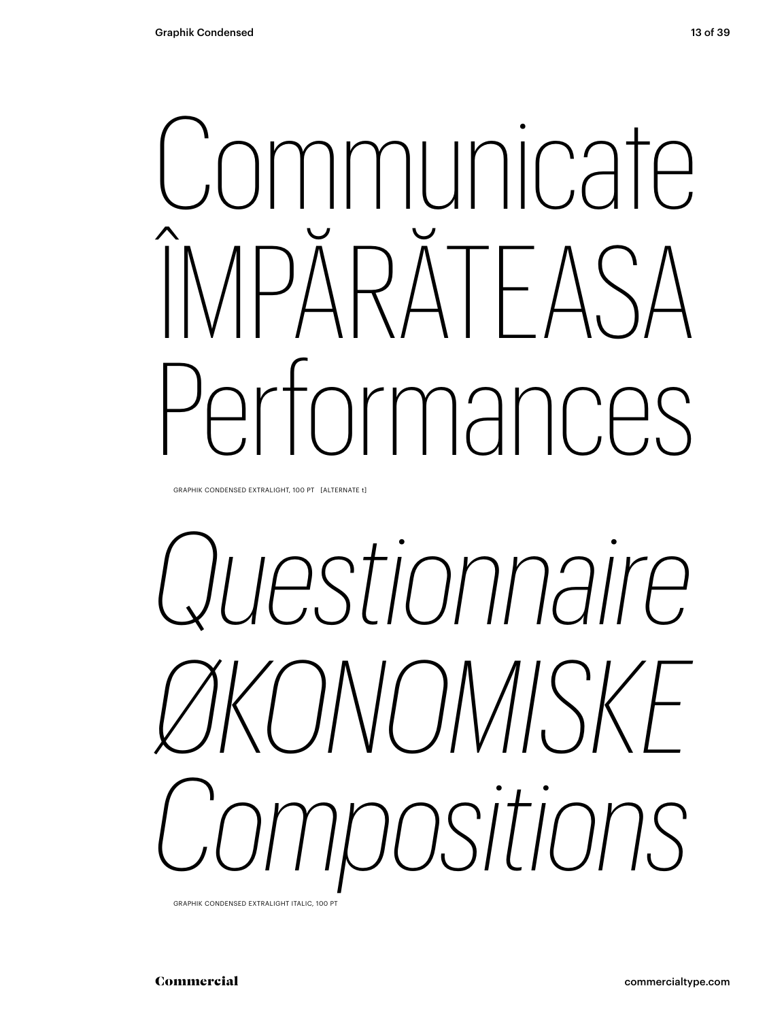## **ommunicate** ÎMPĂRĂTEASA Performances

GRAPHIK CONDENSED EXTRALIGHT, 100 PT [ALTERNATE t]

## *Questionnaire ØKONOMISKE Compositions*

GRAPHIK CONDENSED EXTRALIGHT ITALIC, 100 PT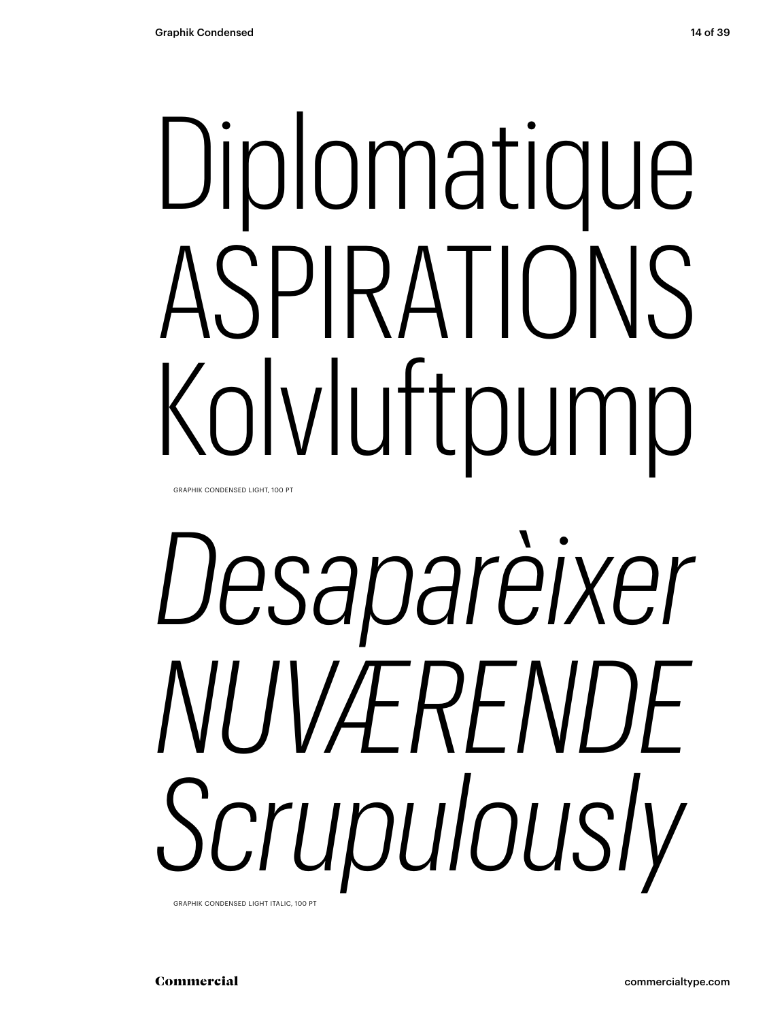# Diplomatique ASPIRATIONS Kolvluftpump

GRAPHIK CONDENSED LIGHT, 100 PT

# *Desaparèixer NUVÆRENDE Scrupulously*

GRAPHIK CONDENSED LIGHT ITALIC, 100 PT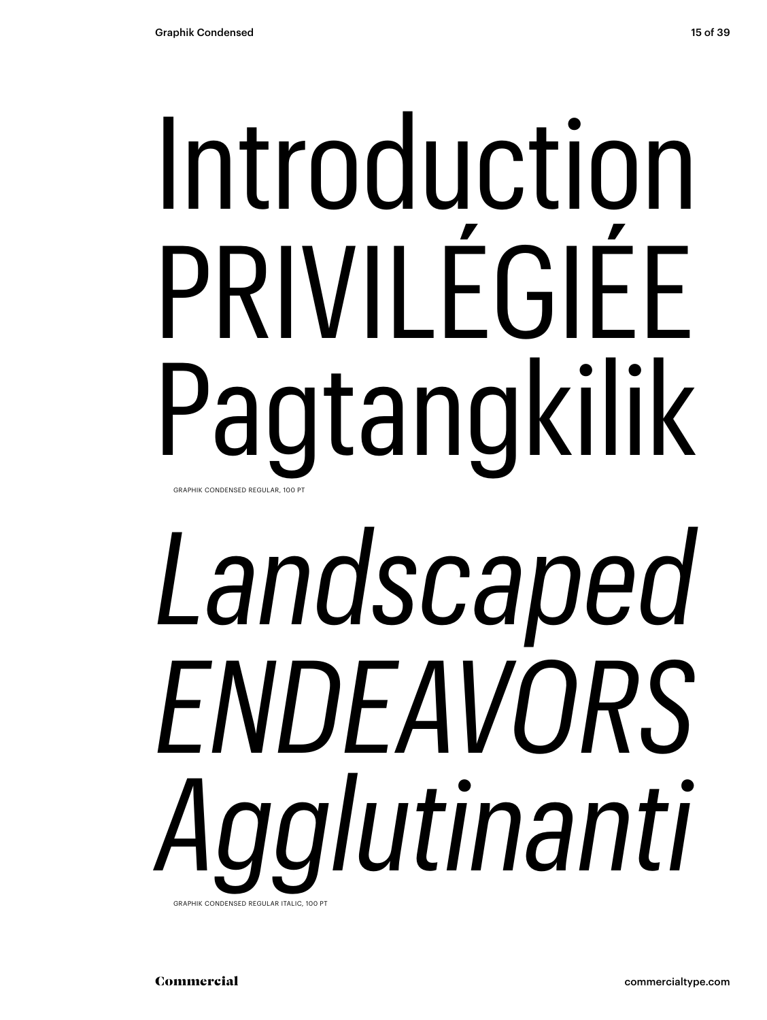## Introduction PRIVILÉGIÉE Pagtangkilik GRAPHIK CONDENSED REGULAR, 100 PT

## *Landscaped ENDEAVORS Agglutinanti* GRAPHIK CONDENSED REGULAR ITALIC, 100 PT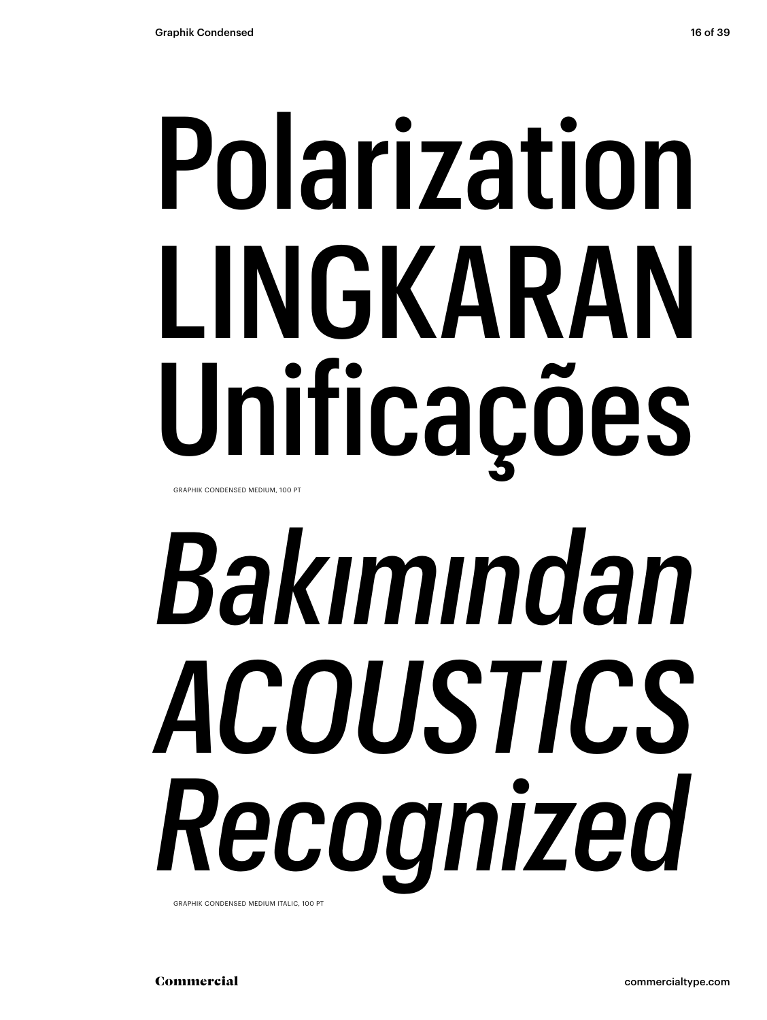# Polarization LINGKARAN Unificações

GRAPHIK CONDENSED MEDIUM, 100 PT

# *Bakımından ACOUSTICS Recognized*

GRAPHIK CONDENSED MEDIUM ITALIC, 100 PT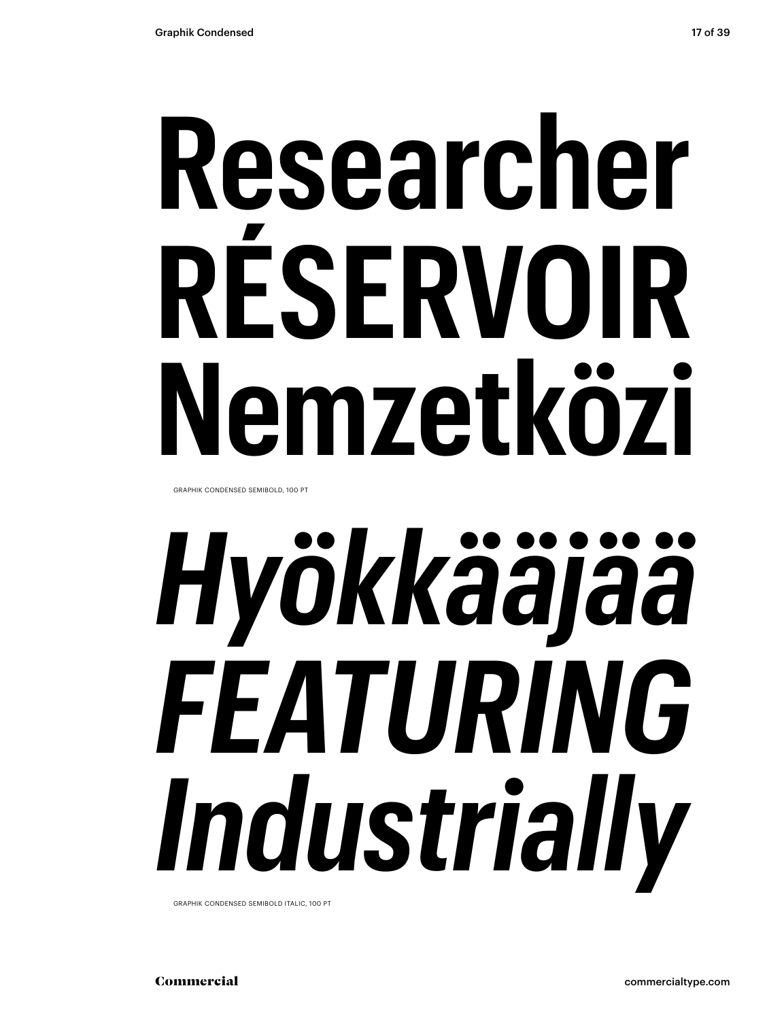## **Researcher RÉSERVOIR Nemzetközi**

GRAPHIK CONDENSED SEMIBOLD, 100 PT

# *Hyökkääjää FEATURING Industrially*

GRAPHIK CONDENSED SEMIBOLD ITALIC, 100 PT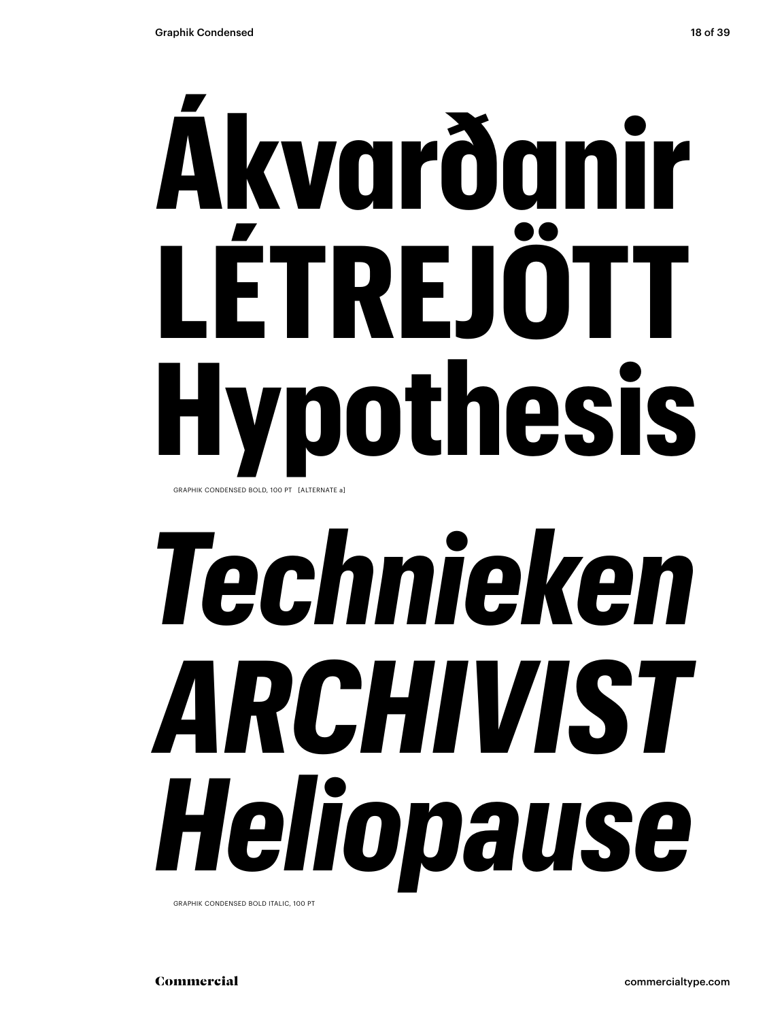# **Ákvarðanir LÉTREJÖTT**

**Hypothesis**

GRAPHIK CONDENSED BOLD, 100 PT [ALTERNATE a]

# *Technieken ARCHIVIST Heliopause*

GRAPHIK CONDENSED BOLD ITALIC, 100 PT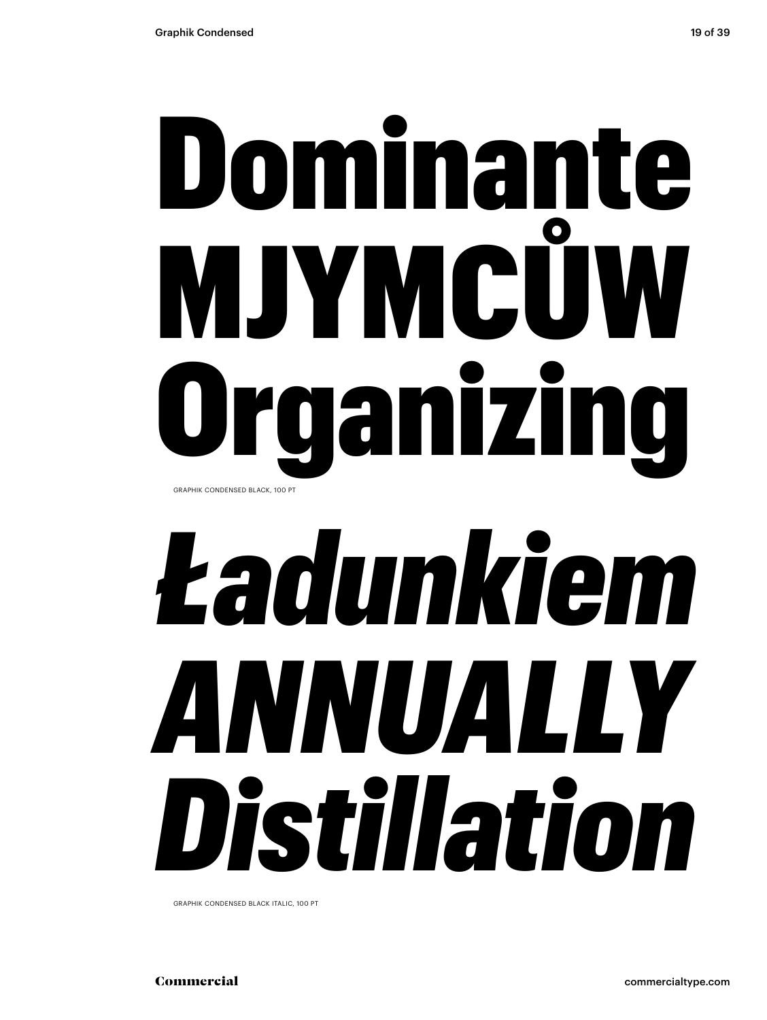## Dominante MJYMCŮW qanizi GRAPHIK CONDENSED BLACK, 100 PT

## *Ładunkiem ANNUALLY Distillation*

GRAPHIK CONDENSED BLACK ITALIC, 100 PT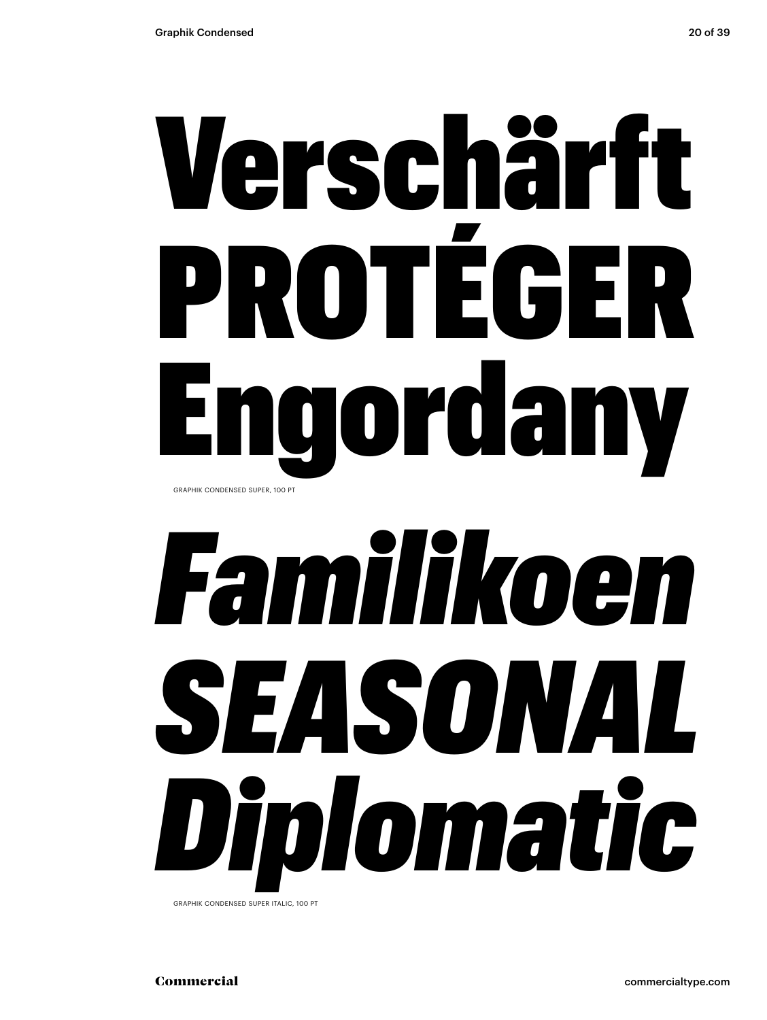## Verschärft PROTÉGER Engordany GRAPHIK CONDENSED SUPER, 100 PT

## *Familikoen SEASONAL Diplomatic*

GRAPHIK CONDENSED SUPER ITALIC, 100 PT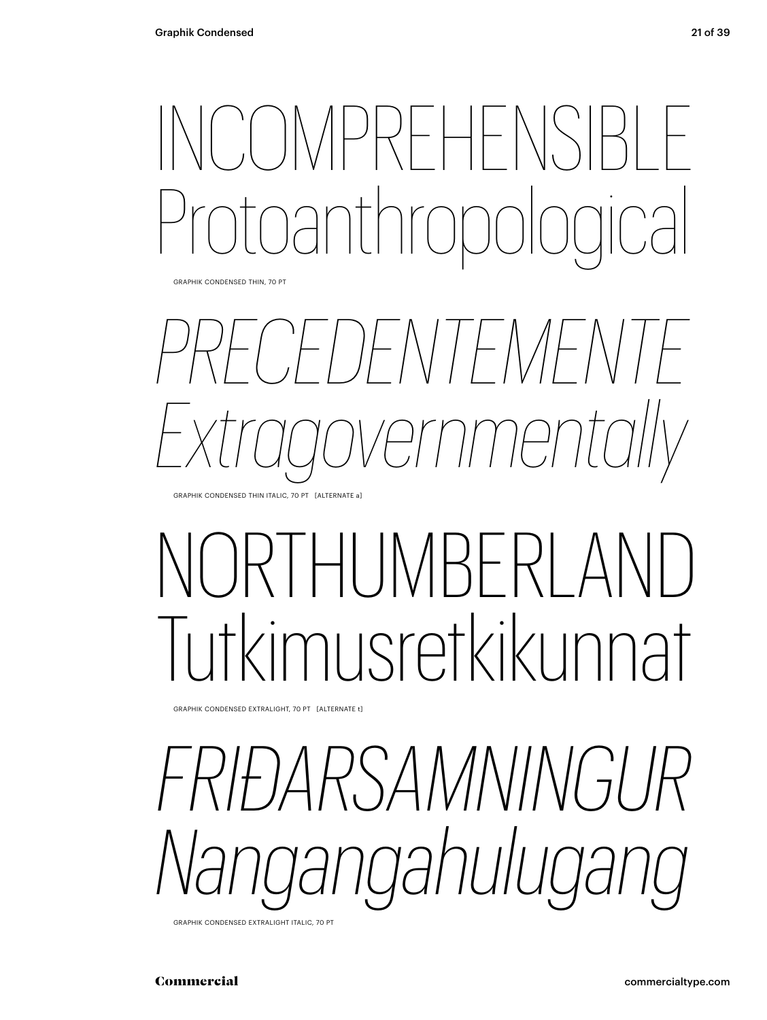### INCOMPREHENSIBLE Protoanthropological

GRAPHIK CONDENSED THIN, 70 PT



### I IMRFRI Tutkimusretkikunnat

GRAPHIK CONDENSED EXTRALIGHT, 70 PT [ALTERNATE t]

*RSAMNINGURS Nangangahulugang* 

GRAPHIK CONDENSED EXTRALIGHT ITALIC, 70 PT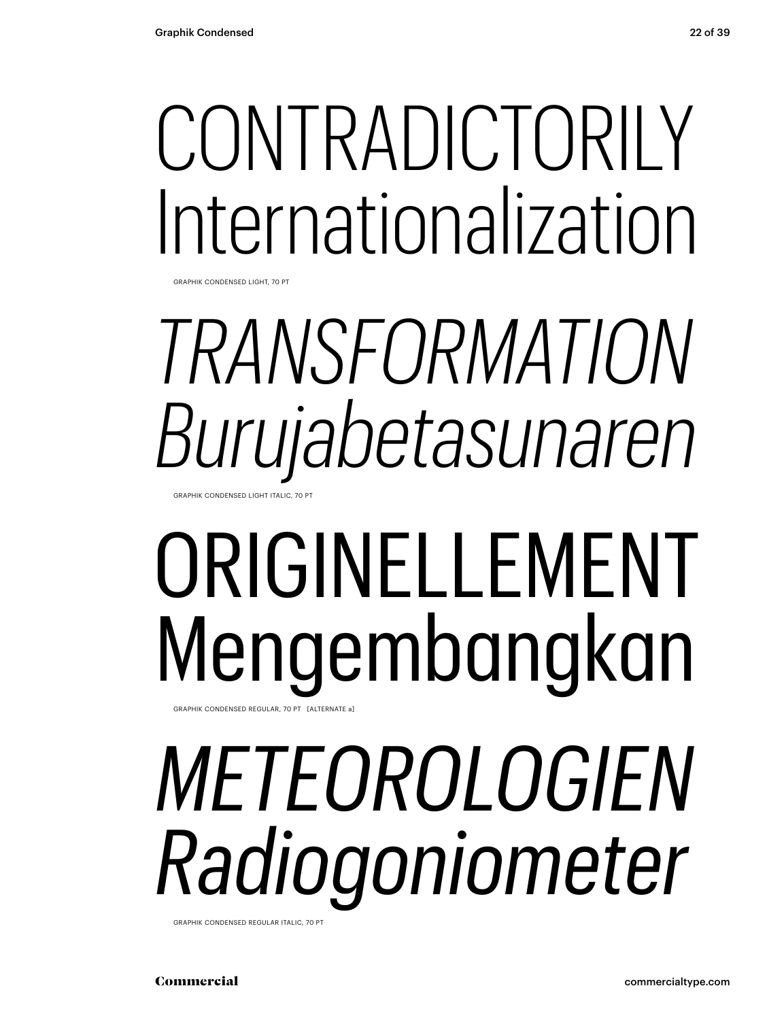### CONTRADICTORILY Internationalization

GRAPHIK CONDENSED LIGHT, 70 PT

## *TRANSFORMATION Burujabetasunaren*

GRAPHIK CONDENSED LIGHT ITALIC, 70 PT

#### ORIGINELLEMENT Mengembangkan GRAPHIK CONDENSED REGULAR, 70 PT [ALTERNATE a]

## *METEOROLOGIEN Radiogoniometer*

GRAPHIK CONDENSED REGULAR ITALIC, 70 PT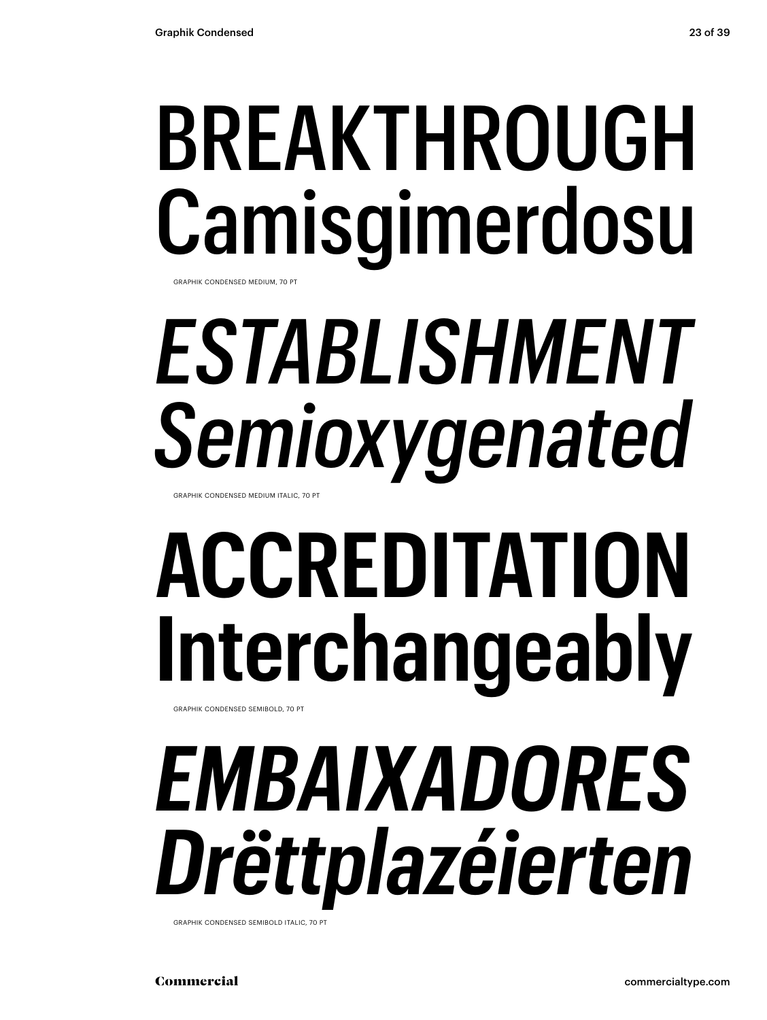## **BREAKTHROUGH** Camisgimerdosu

GRAPHIK CONDENSED MEDIUM, 70 PT

## **ESTABLISHMENT** Semioxygenated

GRAPHIK CONDENSED MEDIUM ITALIC, 70 PT

## **ACCREDITATION** Interchangeably

GRAPHIK CONDENSED SEMIROLD 70 PT

### EMBAIXADORES Drëttplazéierten

GRAPHIK CONDENSED SEMIBOLD ITALIC, 70 PT

Commercial

23 of 39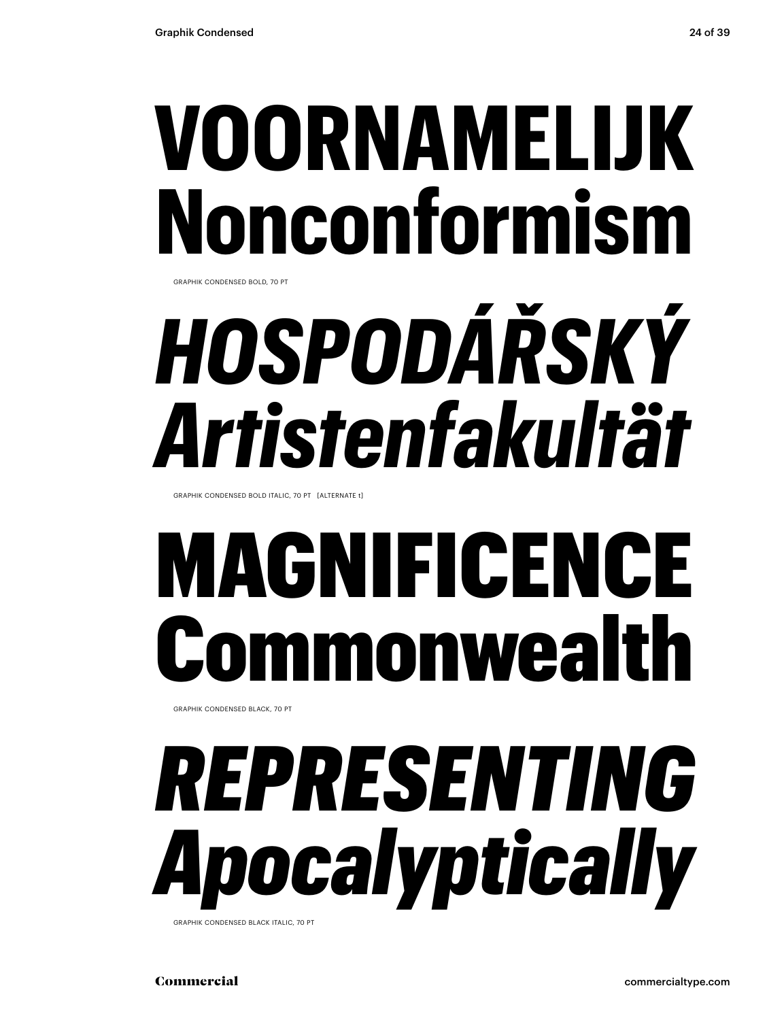### **VOORNAMELIJK Nonconformism**

GRAPHIK CONDENSED BOLD, 70 PT

## *HOSPODÁŘSKÝ Artistenfakultät*

GRAPHIK CONDENSED BOLD ITALIC, 70 PT [ALTERNATE t]

### MAGNIFICENCE monweal

GRAPHIK CONDENSED BLACK, 70 PT

## *REPRESENTING Apocalyptically*

**GRAPHIK CONDENSED BLACK ITALIC, 70 PT** 

Commercial commercialtype.com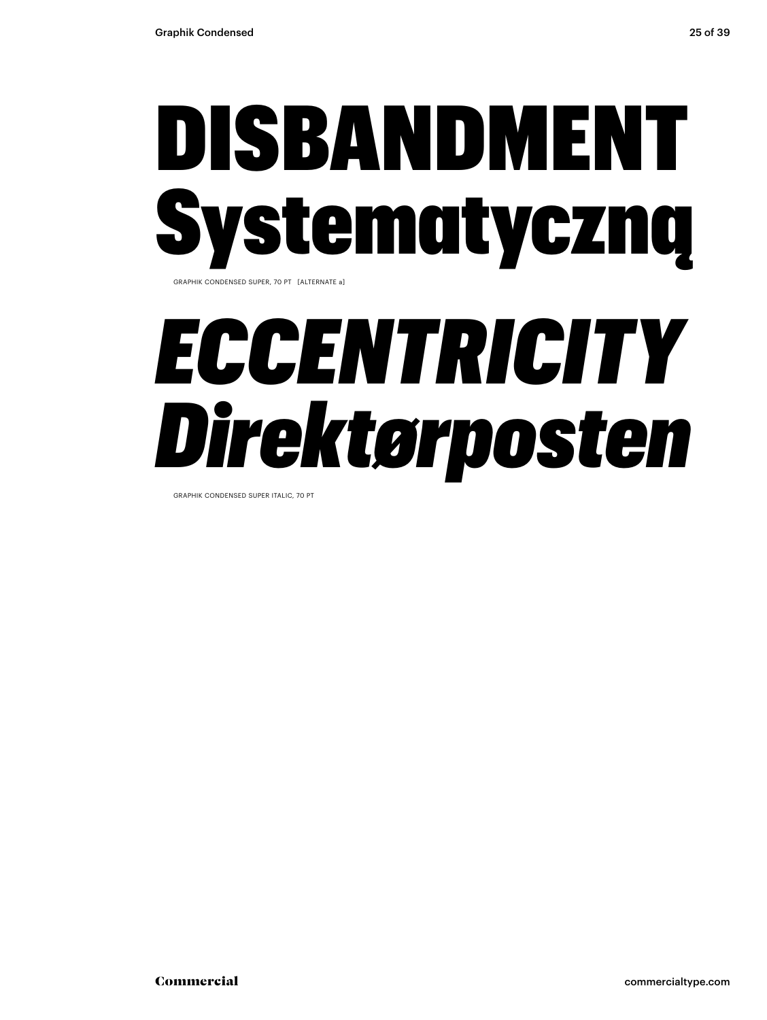### DISBANDMENT Systematyczną GRAPHIK CONDENSED SUPER, 70 PT [ALTERNATE a]

### *ECCENTRICITY Direktørposten*

GRAPHIK CONDENSED SUPER ITALIC, 70 PT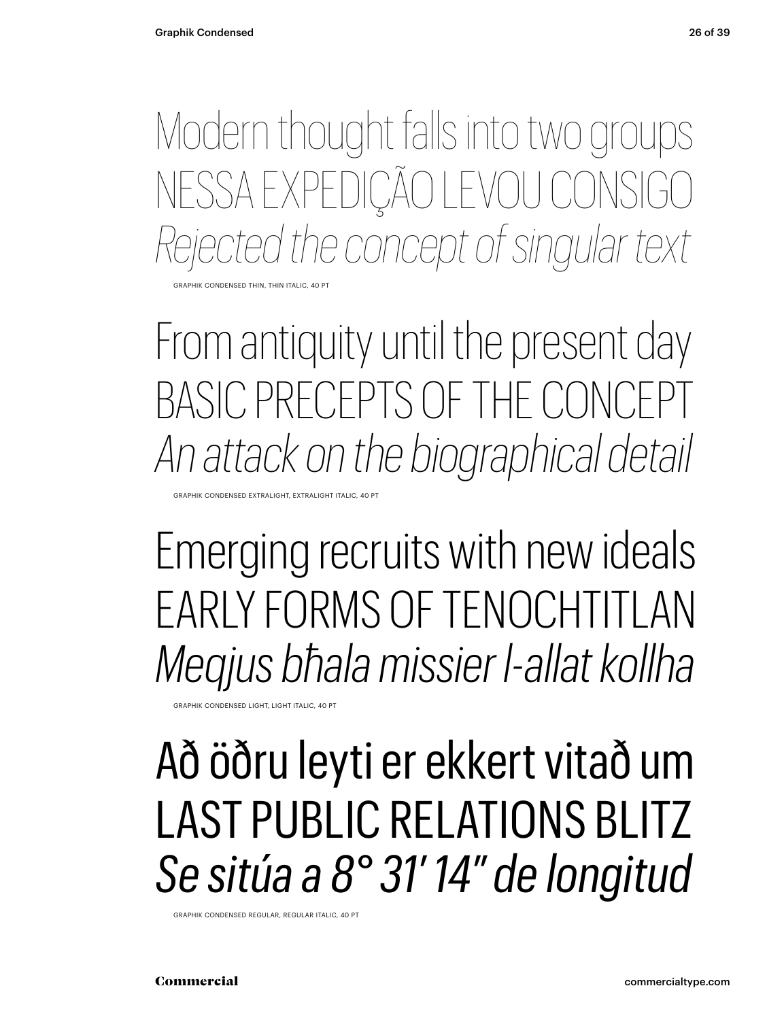Modern thought falls into two groups NESSA EXPEDIÇÃO LEVOU CONSIGO *Rejected the concept of singular text*

GRAPHIK CONDENSED THIN, THIN ITALIC, 40 PT

From antiquity until the present day BASIC PRECEPTS OF THE CONCI *An attack on the biographical detail*

GRAPHIK CONDENSED EXTRALIGHT, EXTRALIGHT ITALIC, 40 PT

Emerging recruits with new ideals EARLY FORMS OF TENOCHTITLAN *Meqjus bħala missier l-allat kollha*

GRAPHIK CONDENSED LIGHT, LIGHT ITALIC, 40 PT

#### Að öðru leyti er ekkert vitað um LAST PUBLIC RELATIONS BLITZ *Se sitúa a 8° 31′ 14″ de longitud*

GRAPHIK CONDENSED REGULAR, REGULAR ITALIC, 40 PT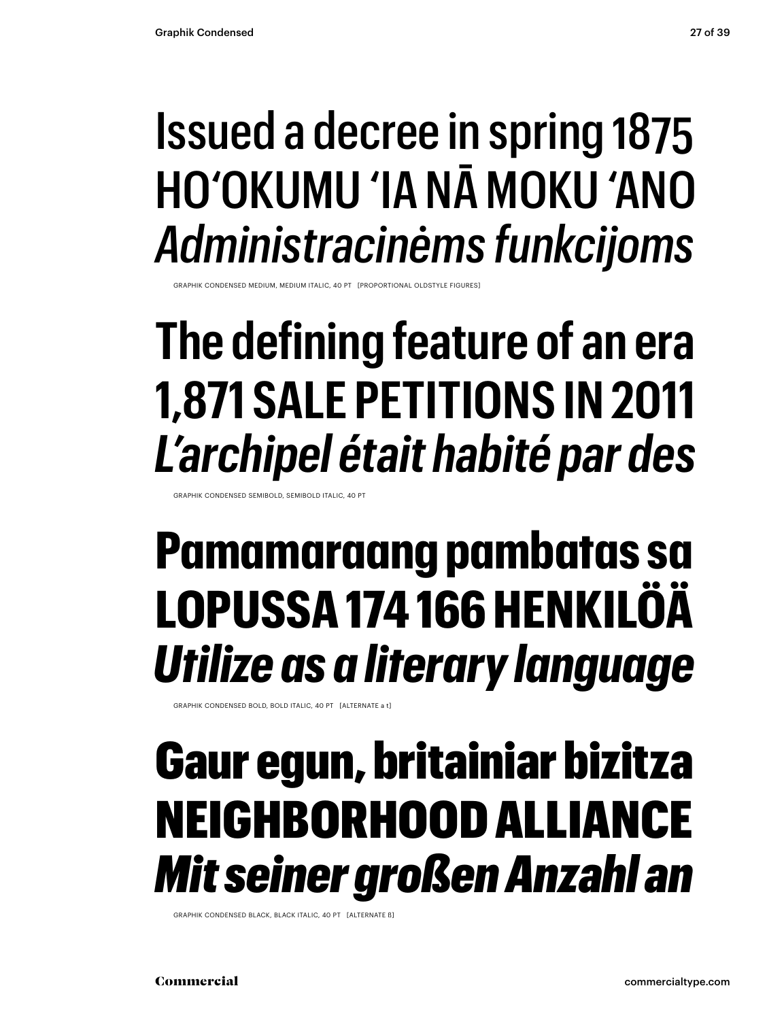#### Issued a decree in spring 1875 HO'OKUMU 'IA NĀ MOKU 'ANO *Administracinėms funkcijoms*

GRAPHIK CONDENSED MEDIUM, MEDIUM ITALIC, 40 PT [PROPORTIONAL OLDSTYLE FIGURES]

#### **The defining feature of an era 1,871 SALE PETITIONS IN 2011** *L'archipel était habité par des*

GRAPHIK CONDENSED SEMIBOLD, SEMIBOLD ITALIC, 40 PT

#### **Pamamaraang pambatas sa LOPUSSA 174 166 HENKILÖÄ** *Utilize as a literary language*

GRAPHIK CONDENSED BOLD, BOLD ITALIC, 40 PT [ALTERNATE a t]

#### Gaur egun, britainiar bizitza NEIGHBORHOOD ALLIANCE *Mit seiner großen Anzahl an*

GRAPHIK CONDENSED BLACK, BLACK ITALIC, 40 PT [ALTERNATE ß]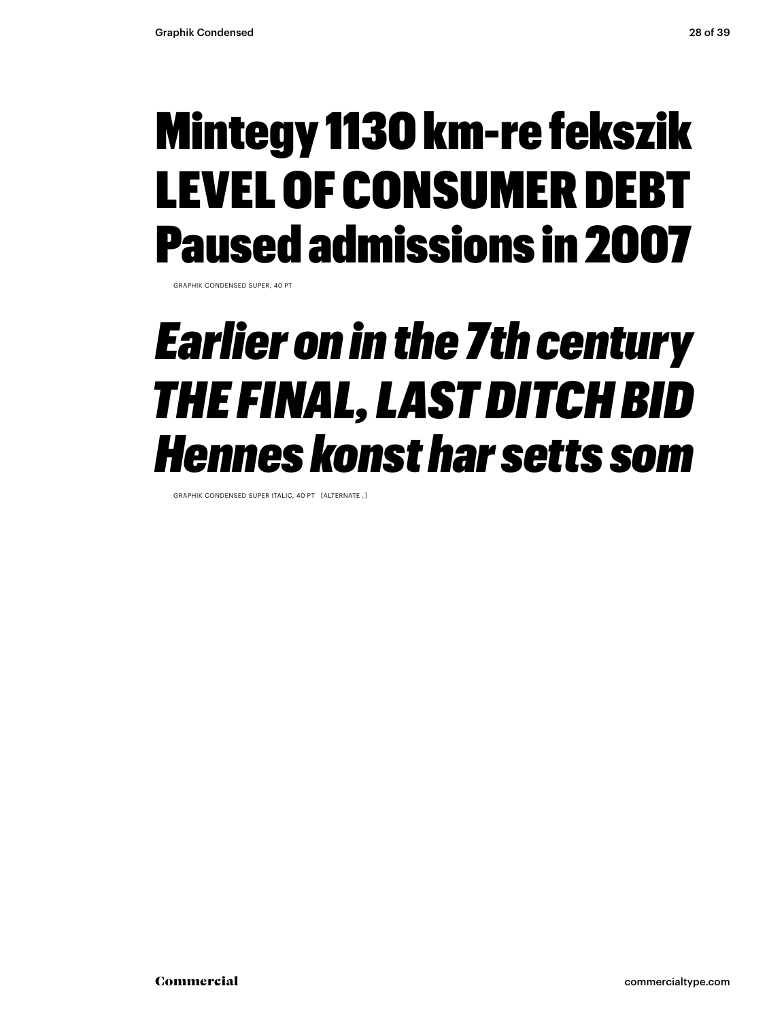#### Mintegy 1130 km-re fekszik LEVEL OF CONSUMER DEBT Paused admissions in 2007

GRAPHIK CONDENSED SUPER, 40 PT

#### *Earlier on in the 7th century THE FINAL, LAST DITCH BID Hennes konst har setts som*

GRAPHIK CONDENSED SUPER ITALIC, 40 PT [ALTERNATE , ]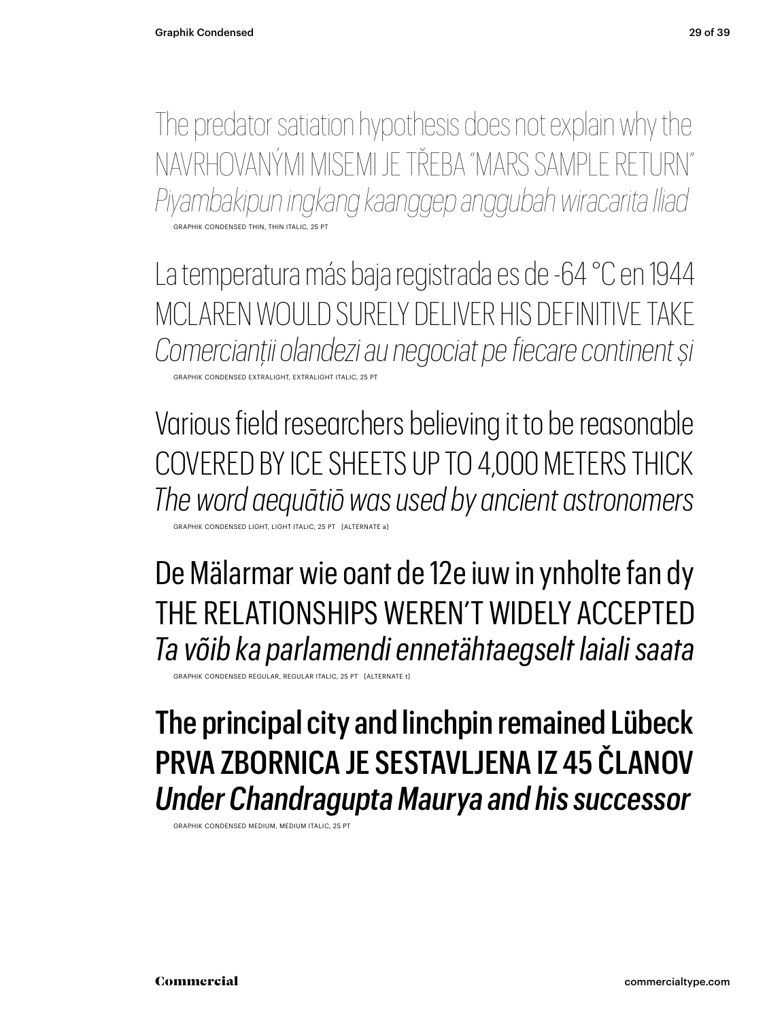The predator satiation hypothesis does not explain why the NAVRHOVANÝMI MISEMI JE TŘEBA "MARS SAMPLE RETURN" *Piyambakipun ingkang kaanggep anggubah wiracarita Iliad* GRAPHIK CONDENSED THIN, THIN ITALIC, 25

La temperatura más baja registrada es de -64 °C en 1944 MCLAREN WOULD SURELY DELIVER HIS DEFINITIVE TAKE *Comercianții olandezi au negociat pe fiecare continent și* GRAPHIK CONDENSED EXTRALIGHT, EXTRALIGHT ITALIC, 25 PT

Various field researchers believing it to be reasonable COVERED BY ICE SHEETS UP TO 4,000 METERS THICK *The word aequātiō was used by ancient astronomers* K CONDENSED LIGHT, LIGHT ITALIC, 25 PT [ALTERN

De Mälarmar wie oant de 12e iuw in ynholte fan dy THE RELATIONSHIPS WEREN'T WIDELY ACCEPTED *Ta võib ka parlamendi ennetähtaegselt laiali saata*

GRAPHIK CONDENSED REGULAR, REGULAR ITALIC, 25 PT [ALTERNATE t]

#### The principal city and linchpin remained Lübeck PRVA ZBORNICA JE SESTAVLJENA IZ 45 ČLANOV *Under Chandragupta Maurya and his successor*

GRAPHIK CONDENSED MEDIUM, MEDIUM ITALIC, 25 P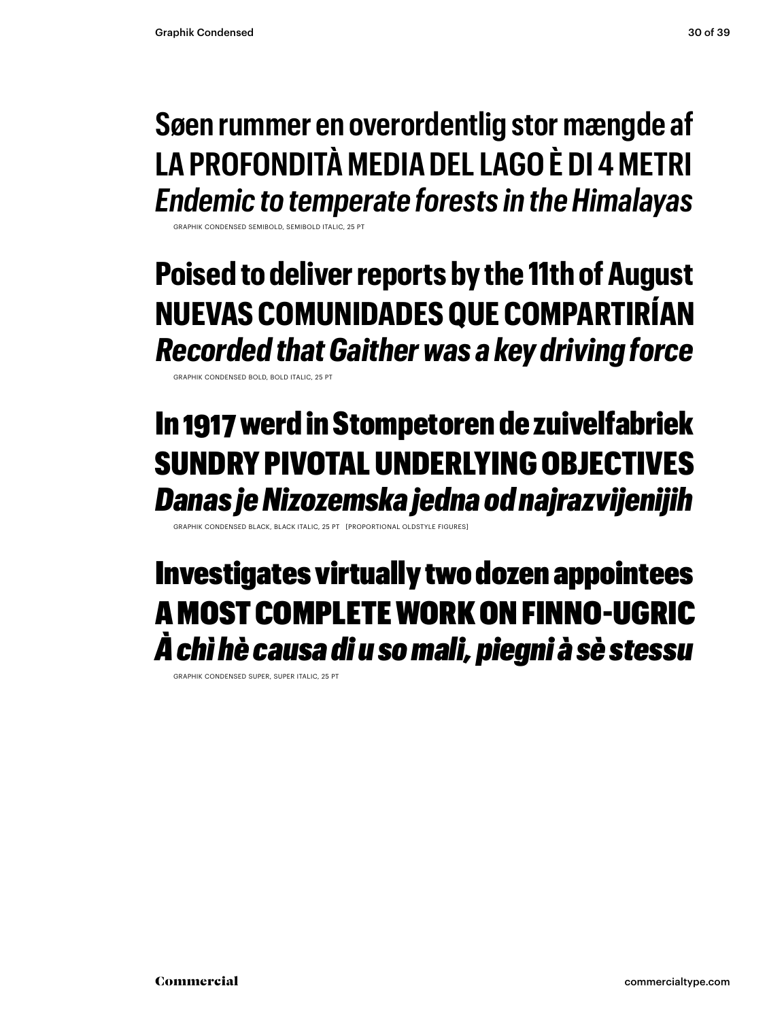#### **Søen rummer en overordentlig stor mængde af LA PROFONDITÀ MEDIA DEL LAGO È DI 4 METRI** *Endemic to temperate forests in the Himalayas*

GRAPHIK CONDENSED SEMIBOLD, SEMIBOLD ITALIC, 25 PT

**Poised to deliver reports by the 11th of August NUEVAS COMUNIDADES QUE COMPARTIRÍAN** *Recorded that Gaither was a key driving force* 

GRAPHIK CONDENSED BOLD, BOLD ITALIC, 25 PT

#### In 1917 werd in Stompetoren de zuivelfabriek SUNDRY PIVOTAL UNDERLYING OBJECTIVES *Danas je Nizozemska jedna od najrazvijenijih*

GRAPHITALIC 25 PT [PROPORTIONAL OLDST

#### Investigates virtually two dozen appointees A MOST COMPLETE WORK ON FINNO-UGRIC *À chì hè causa di u so mali, piegni à sè stessu*

GRAPHIK CONDENSED SUPER, SUPER ITALIC, 25 PT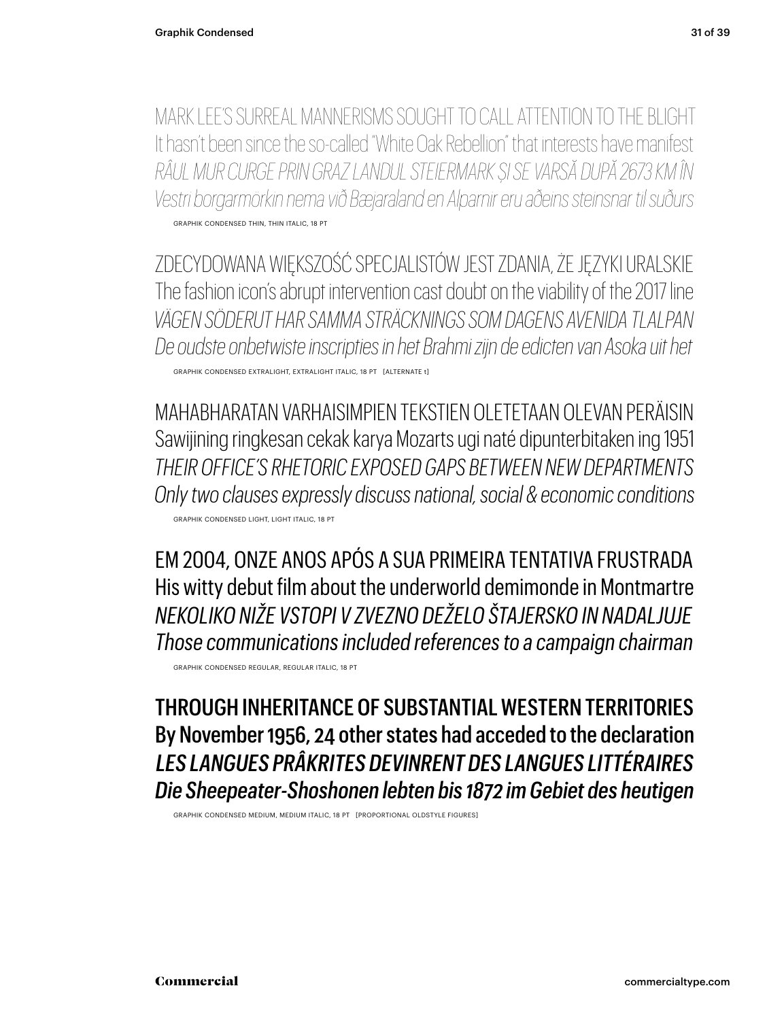MARK LEE'S SURREAL MANNERISMS SOUGHT TO CALL ATTENTION TO THE BLIGHT It hasn't been since the so-called "White Oak Rebellion" that interests have manifest RÂUL MUR CURGE PRIN GRAZ LANDUL STEIERMARK ȘI SE VARSĂ DUPĂ 2673 KM ÎN Vestri borgarmörkin nema við Bæjaraland en Alparnir eru aðeins steinsnar til suðurs GRAPHIK CONDENSED THIN, THIN ITALIC, 18 PT

ZDECYDOWANA WIĘKSZOŚĆ SPECJALISTÓW JEST ZDANIA, ŻE JĘZYKI URALSKIE The fashion icon's abrupt intervention cast doubt on the viability of the 2017 line VÄGEN SÖDERLIT HAR SAMMA STRÄCKNINGS SOM DAGENS AVENIDA TI ALPAN De oudste onbetwiste inscripties in het Brahmi zijn de edicten van Asoka uit het GRAPHIK CONDENSED EXTRALIGHT, EXTRALIGHT ITALIC, 18 PT [ALTERNATE t]

MAHABHARATAN VARHAISIMPIFN TFKSTIFN OI FTFTAAN OI FVAN PFRÄISIN Sawijining ringkesan cekak karya Mozarts ugi naté dipunterbitaken ing 1951 THEIR OFFICE'S RHETORIC EXPOSED GAPS BETWEEN NEW DEPARTMENTS Only two clauses expressly discuss national, social & economic conditions GRAPHIK CONDENSED LIGHT, LIGHT ITALIC, 18 PT

EM 2004, ONZE ANOS APÓS A SUA PRIMEIRA TENTATIVA FRUSTRADA His witty debut film about the underworld demimonde in Montmartre NEKOLIKO NIŽE VSTOPI V ZVEZNO DEŽELO ŠTAJERSKO IN NADALJUJE Those communications included references to a campaign chairman

GRAPHIK CONDENSED REGULAR, REGULAR ITALIC, 18 PT

THROUGH INHERITANCE OF SUBSTANTIAL WESTERN TERRITORIES By November 1956, 24 other states had acceded to the declaration LES LANGUES PRÂKRITES DEVINRENT DES LANGUES LITTÉRAIRES Die Sheepeater-Shoshonen lebten bis 1872 im Gebiet des heutigen

GRAPHIK CONDENSED MEDIUM, MEDIUM ITALIC, 18 PT [PROPORTIONAL OLDSTYLE FIGURES]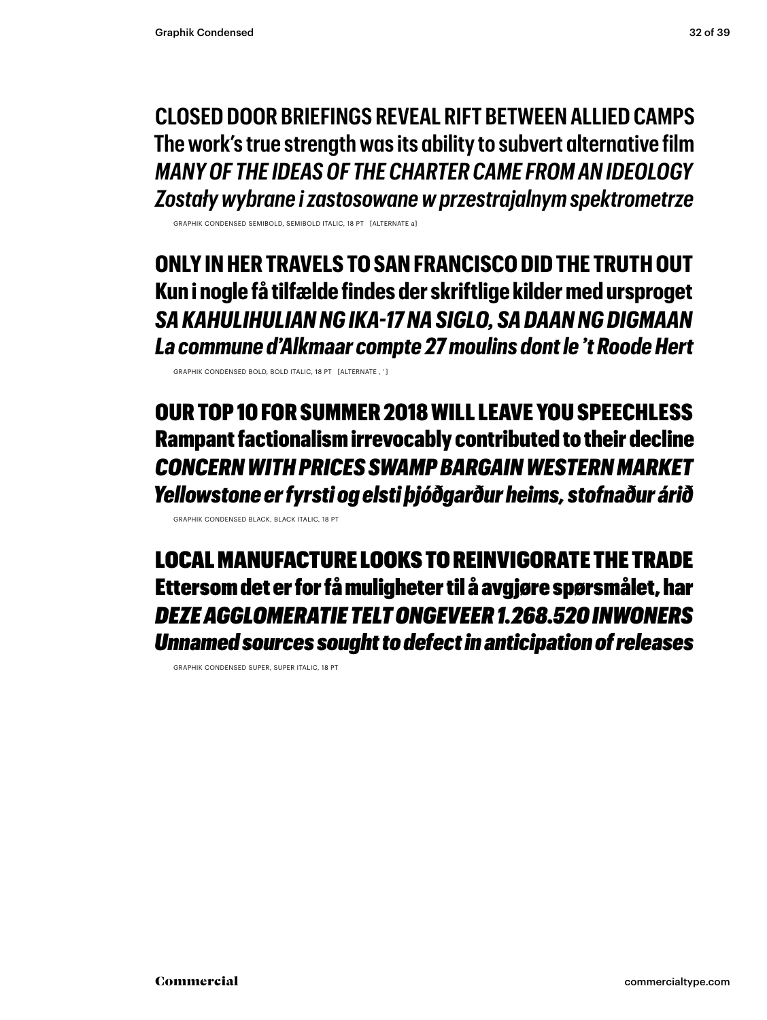**CLOSED DOOR BRIEFINGS REVEAL RIFT BETWEEN ALLIED CAMPS The work's true strength was its ability to subvert alternative film** *MANY OF THE IDEAS OF THE CHARTER CAME FROM AN IDEOLOGY Zostały wybrane i zastosowane w przestrajalnym spektrometrze*

GRAPHIK CONDENSED SEMIBOLD, SEMIBOLD ITALIC, 18 PT [ALTERNATE a]

**ONLY IN HER TRAVELS TO SAN FRANCISCO DID THE TRUTH OUT Kun i nogle få tilfælde findes der skriftlige kilder med ursproget** *SA KAHULIHULIAN NG IKA-17 NA SIGLO, SA DAAN NG DIGMAAN La commune d'Alkmaar compte 27 moulins dont le 't Roode Hert*

GRAPHIK CONDENSED BOLD, BOLD ITALIC, 18 PT [ALTERNATE , ' ]

OUR TOP 10 FOR SUMMER 2018 WILL LEAVE YOU SPEECHLESS Rampant factionalism irrevocably contributed to their decline *CONCERN WITH PRICES SWAMP BARGAIN WESTERN MARKET Yellowstone er fyrsti og elsti þjóðgarður heims, stofnaður árið*

GRAPHIK CONDENSED BLACK, BLACK ITALIC, 18 PT

LOCAL MANUFACTURE LOOKS TO REINVIGORATE THE TRADE Ettersom det er for få muligheter til å avgjøre spørsmålet, har *DEZE AGGLOMERATIE TELT ONGEVEER 1.268.520 INWONERS Unnamed sources sought to defect in anticipation of releases*

GRAPHIK CONDENSED SUPER, SUPER ITALIC, 18 PT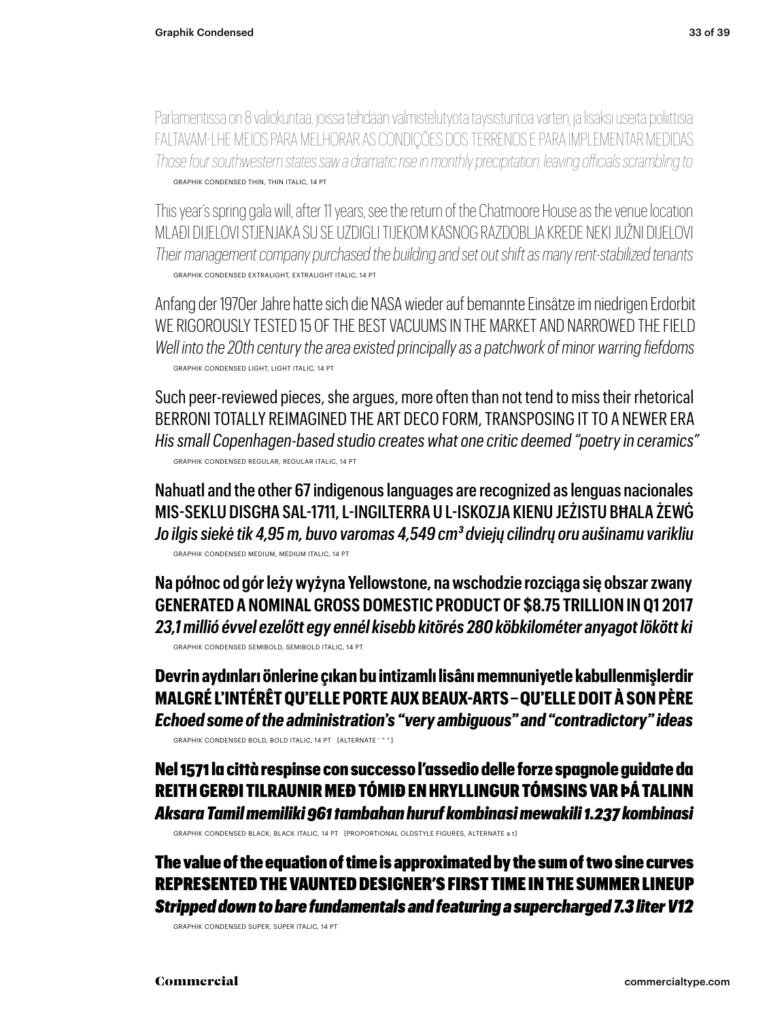Parlamentissa on 8 valiokuntaa, joissa tehdään valmistelutyötä täysistuntoa varten, ja lisäksi useita poliittisia FALTAVAM-LHE MEIOS PARA MELHORAR AS CONDIÇÕES DOS TERRENOS E PARA IMPLEMENTAR MEDIDAS *Those four southwestern states saw a dramatic rise in monthly precipitation, leaving officials scrambling to* GRAPHIK CONDENSED THIN, THIN ITALIC, 14 PT

This year's spring gala will, after 11 years, see the return of the Chatmoore House as the venue location MLAĐI DIJELOVI STJENJAKA SU SE UZDIGLI TIJEKOM KASNOG RAZDOBLJA KREDE NEKI JUŽNI DIJELOVI *Their management company purchased the building and set out shift as many rent-stabilized tenants* GRAPHIK CONDENSED EXTRALIGHT, EXTRALIGHT ITALIC, 14 PT

Anfang der 1970er Jahre hatte sich die NASA wieder auf bemannte Einsätze im niedrigen Erdorbit WE RIGOROUSLY TESTED 15 OF THE BEST VACUUMS IN THE MARKFT AND NARROWED THE FIFI D *Well into the 20th century the area existed principally as a patchwork of minor warring fiefdoms* GRAPHIK CONDENSED LIGHT, LIGHT ITALIC, 14 PT

Such peer-reviewed pieces, she argues, more often than not tend to miss their rhetorical BERRONI TOTALLY REIMAGINED THE ART DECO FORM, TRANSPOSING IT TO A NEWER ERA *His small Copenhagen-based studio creates what one critic deemed "poetry in ceramics"* GRAPHIK CONDENSED REGULAR, REGULAR ITALIC, 14 PT

Nahuatl and the other 67 indigenous languages are recognized as lenguas nacionales MIS-SEKLU DISGĦA SAL-1711, L-INGILTERRA U L-ISKOZJA KIENU JEŻISTU BĦALA ŻEWĠ *Jo ilgis siekė tik 4,95 m, buvo varomas 4,549 cm3 dviejų cilindrų oru aušinamu varikliu* GRAPHIK CONDENSED MEDIUM, MEDIUM ITALIC, 14 PT

**Na północ od gór leży wyżyna Yellowstone, na wschodzie rozciąga się obszar zwany GENERATED A NOMINAL GROSS DOMESTIC PRODUCT OF \$8.75 TRILLION IN Q1 2017** *23,1 millió évvel ezelőtt egy ennél kisebb kitörés 280 köbkilométer anyagot lökött ki* GRAPHIK CONDENSED SEMIBOLD, SEMIBOLD ITALIC, 14 PT

**Devrin aydınları önlerine çıkan bu intizamlı lisânı memnuniyetle kabullenmişlerdir MALGRÉ L'INTÉRÊT QU'ELLE PORTE AUX BEAUX-ARTS – QU'ELLE DOIT À SON PÈRE** *Echoed some of the administration's "very ambiguous" and "contradictory" ideas* GRAPHIK CONDENSED BOLD, BOLD ITALIC, 14 PT [ALTERNATE ' " " ]

Nel 1571 la città respinse con successo l'assedio delle forze spagnole guidate da REITH GERÐI TILRAUNIR MEÐ TÓMIÐ EN HRYLLINGUR TÓMSINS VAR ÞÁ TALINN *Aksara Tamil memiliki 961 tambahan huruf kombinasi mewakili 1.237 kombinasi*

GRAPHIK CONDENSED BLACK, BLACK ITALIC, 14 PT [PROPORTIONAL OLDSTYLE FIGURES, ALTERNATE a t]

The value of the equation of time is approximated by the sum of two sine curves REPRESENTED THE VAUNTED DESIGNER'S FIRST TIME IN THE SUMMER LINEUP *Stripped down to bare fundamentals and featuring a supercharged 7.3 liter V12*

GRAPHIK CONDENSED SUPER, SUPER ITALIC, 14 PT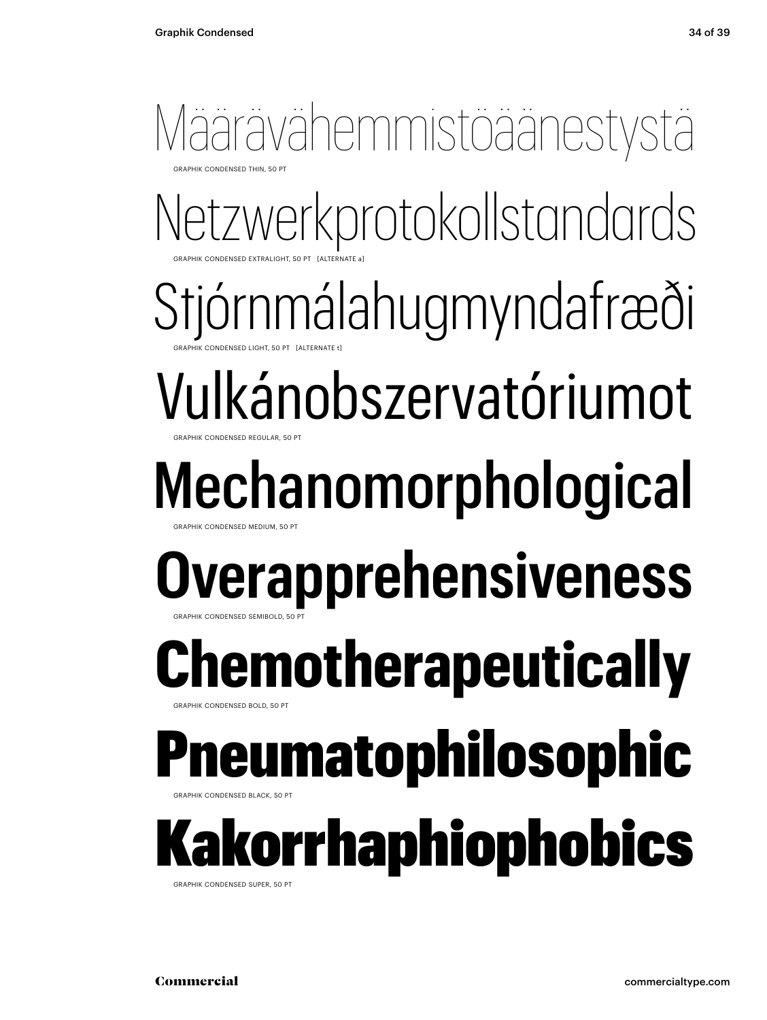#### Määrävähemmistöäänestystä **GRAPHIK CONDENSED THIN, 50 PT**

Netzwerkprotokollstandards GRAPHIK CONDENSED EXTRALIGHT, 50 PT [ALTERNATE a]

Stjórnmálahugmyndafræði GRAPHIK CONDENSED LIGHT, 50 PT [ALTERNATE t]

Vulkánobszervatóriumot GRAPHIK CONDENSED REGULAR, 50 PT

#### Mechanomorphological GRAPHIK CONDENSED MEDIUM, 50 PT

#### **Overapprehensiveness** GRAPHIK CONDENSED SEMIBOLD, 50 PT

#### **Remotherapeutically GRAPHIK CONDENSED BOLD, 50 PT**

#### neumatophilosophic

BRAPHIK CONDENSED BLACK, 50 PT

### Kakorrhaphiophobics

GRAPHIK CONDENSED SUPER, 50 PT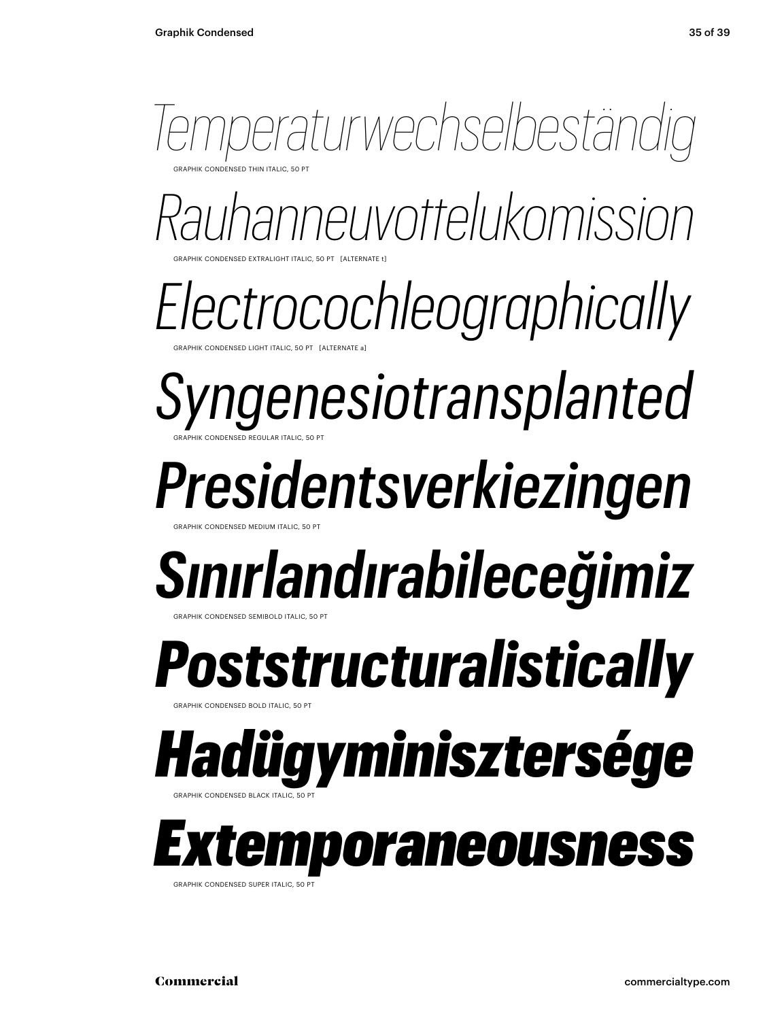

GRAPHIK CONDENSED EXTRALIGHT ITALIC, 50 PT [ALTERNATE t] *Rauhanneuvottelukomission*

CONDENSED LIGHT ITALIC, 50 PT [ALTERNATE a *Electrocochleographically*

GRAPHIK CONDENSED REGULAR ITALIC, 50 PT *Syngenesiotransplanted*

*Presidentsverkiezingen*

### *Sınırlandırabileceğimiz*

GRAPHIK CONDENSED SEMIBOLD ITALIC, 50 PT

GRAPHIK CONDENSED MEDIUM ITALIC, 50 PT

**RAPHIK CONDENSED BOLD ITALIC, 50** *Poststructuralistically*

*Hadügyminisztersége*

GRAPHIK CONDENSED BLACK ITALIC, 50 PT



GRAPHIK CONDENSED SUPER ITALIC, 50 PT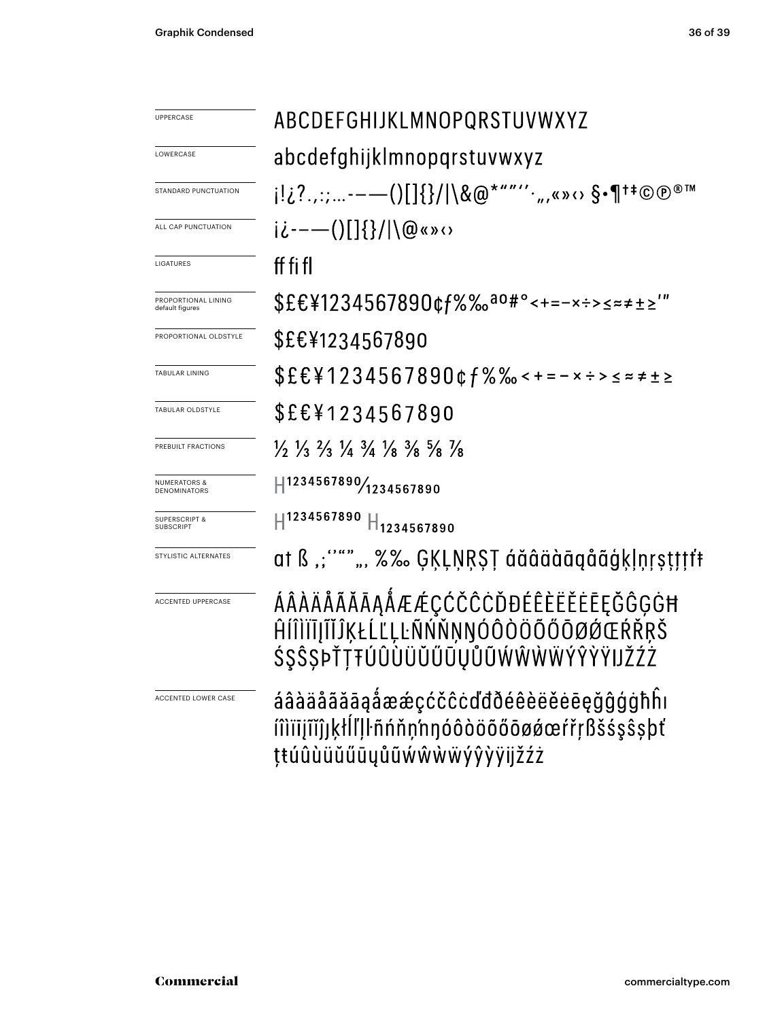| <b>UPPERCASE</b>                             | ABCDEFGHIJKLMNOPQRSTUVWXYZ                                                                                                    |  |  |
|----------------------------------------------|-------------------------------------------------------------------------------------------------------------------------------|--|--|
| LOWERCASE                                    | abcdefghijklmnopqrstuvwxyz                                                                                                    |  |  |
| STANDARD PUNCTUATION                         | j!¿?.,:;-——()[]{}/ \&@*""''`",«»⇔ §•¶†‡©®®™                                                                                   |  |  |
| ALL CAP PUNCTUATION                          | $i\dot{\iota}$ ---()[]{}/ \@«» $\circ$                                                                                        |  |  |
| LIGATURES                                    | ff fi fl                                                                                                                      |  |  |
| PROPORTIONAL LINING<br>default figures       | \$£€¥1234567890¢f%‰ <sup>ao#</sup> °<+=-×÷>≤≈≠±≥'"                                                                            |  |  |
| PROPORTIONAL OLDSTYLE                        | \$£€¥1234567890                                                                                                               |  |  |
| <b>TABULAR LINING</b>                        | $$EE41234567890$ & f % % < + = - x ÷ > < = $\neq$ + $\geq$                                                                    |  |  |
| TABULAR OLDSTYLE                             | \$£€¥1234567890                                                                                                               |  |  |
| PREBUILT FRACTIONS                           | $\frac{1}{2}$ $\frac{1}{3}$ $\frac{2}{3}$ $\frac{1}{4}$ $\frac{3}{4}$ $\frac{1}{8}$ $\frac{3}{8}$ $\frac{5}{8}$ $\frac{1}{8}$ |  |  |
| <b>NUMERATORS &amp;</b><br>DENOMINATORS      | H1234567890/1234567890                                                                                                        |  |  |
| <b>SUPERSCRIPT &amp;</b><br><b>SUBSCRIPT</b> | $H^{1234567890}$ $H_{1234567890}$                                                                                             |  |  |
| STYLISTIC ALTERNATES                         | at ß ,;''"" ", %‰ ĢĶĻŅŖŞŢ áăâäàāąåãģķļņŗşţţţţf                                                                                |  |  |
| <b>ACCENTED UPPERCASE</b>                    | ÁÂÀÄÅÃĂĀĄÅÆÆÇĆČĈĊĎĐÉÊÈËĚĒĘĞĜĢĠĦ<br>ĤĺÎÌĬĪJĨĬĴĶŁĹĽĻĿÑŃŇŅŊÓÔÒÖŐŐŌØØŒŔŘŖŠ<br>ŚŞŜŞÞŤŢŦÚÛÙÜŬŰŪŲŮŨŴŴŴŴÝŶŸŸIJŽŹŻ                     |  |  |
| ACCENTED LOWER CASE                          | áâàäåãăāąåææçćčĉcďđðéêèëěēegğĝģġħĥı<br>miijiijjkłĺľļŀñńňņ'nŋóôòöõőōøǿœŕřŗßšśşŝṣþť<br>ţŧúûùüŭűūųůũẃŵẁẅýŷỳÿijžźż                |  |  |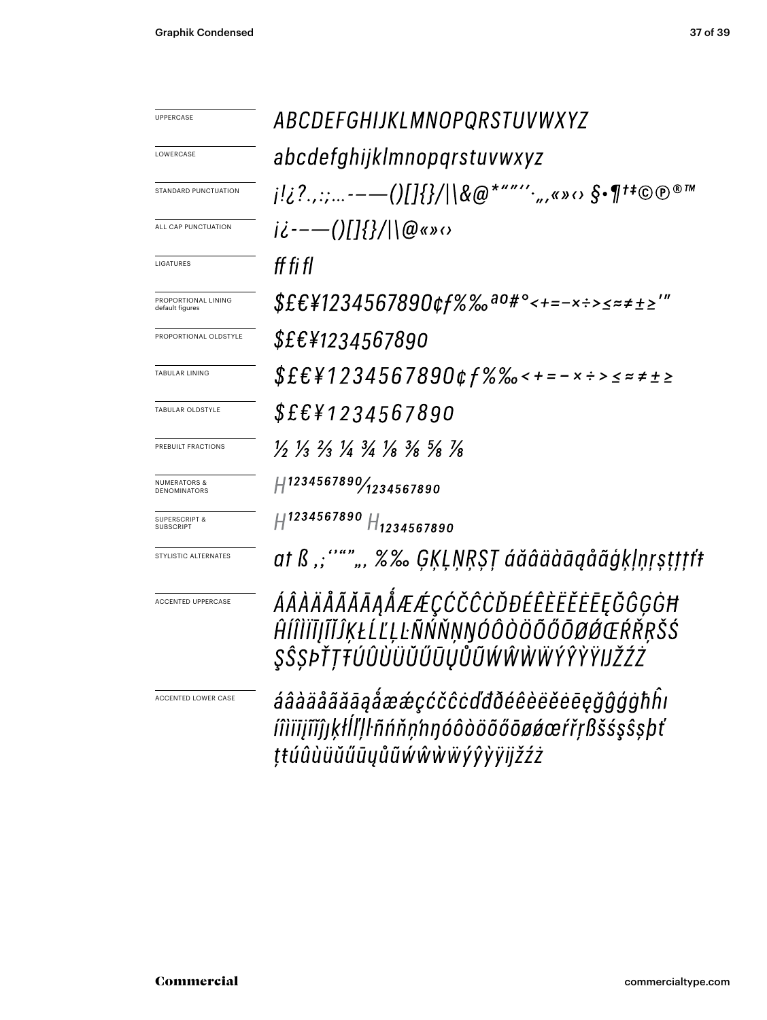| <b>UPPERCASE</b>                               | ABCDEFGHIJKLMNOPQRSTUVWXYZ                                                                                                    |  |
|------------------------------------------------|-------------------------------------------------------------------------------------------------------------------------------|--|
| LOWERCASE                                      | abcdefghijklmnopqrstuvwxyz                                                                                                    |  |
| STANDARD PUNCTUATION                           | <i>┆!¿</i> ?. <i>,:;----()[]{}/</i>  \&@*"″´´ <sub>´</sub> ",«»⇔ §•¶ <sup>+</sup> ‡©℗®™                                       |  |
| ALL CAP PUNCTUATION                            | $i\dot{\zeta}$ ---()[]{}/ \@«» $\omega$                                                                                       |  |
| LIGATURES                                      | ff fi fl                                                                                                                      |  |
| PROPORTIONAL LINING<br>default figures         | $$EEY1234567890$ cf%‰ <sup>ao#</sup> °<+=-x÷>≤≈≠±≥'"                                                                          |  |
| PROPORTIONAL OLDSTYLE                          | <i>\$£€¥1234567890</i>                                                                                                        |  |
| <b>TABULAR LINING</b>                          | $$EEY1234567890$ & f % % < + = - x ÷ > < = ± ± ≥                                                                              |  |
| TABULAR OLDSTYLE                               | <i>\$£€¥1234567890</i>                                                                                                        |  |
| PREBUILT FRACTIONS                             | $\frac{1}{2}$ $\frac{1}{3}$ $\frac{2}{3}$ $\frac{1}{4}$ $\frac{3}{4}$ $\frac{1}{8}$ $\frac{3}{8}$ $\frac{5}{8}$ $\frac{1}{8}$ |  |
| <b>NUMERATORS &amp;</b><br><b>DENOMINATORS</b> | H1234567890/1234567890                                                                                                        |  |
| SUPERSCRIPT &<br><b>SUBSCRIPT</b>              | $H^{1234567890}$ $H_{1234567890}$                                                                                             |  |
| STYLISTIC ALTERNATES                           | at ß ,; """ ", %‰ ĢĶĻŅŖŞŢ áăâäàāąåãģķļņŗṣţţţţt                                                                                |  |
| <b>ACCENTED UPPERCASE</b>                      | ÁÂÀÄÅÃĂĀĄÅÆÆÇĆČĈĊĎĐÉÊÈËĔĒĘĞĜĢĠĦ<br>ĤĺÎÌĬĪĮĨĬĴĶŁĹĽĻĿÑŃŇŅŊÓÔÒÖŐŐŌØÓŒŔŘŖŠŚ<br>ŞŜŞÞŤŢŦÚÛÙÜŬŰŪŲŮŨŴŴŴŴŶŶŶŸIJŽŹŻ                     |  |
| <b>ACCENTED LOWER CASE</b>                     | áâàäåãããąåææçćčĉcďđðéêèëĕēēęğĝģġħĥı<br>iîìïijĩĭĵjķłĺľļŀñńňņ'nŋóôòöõőōøøœŕřŗßšśşŝşþť<br>ţŧúûùüŭűūyůũẃŵẁẅýŷỳÿijžźż              |  |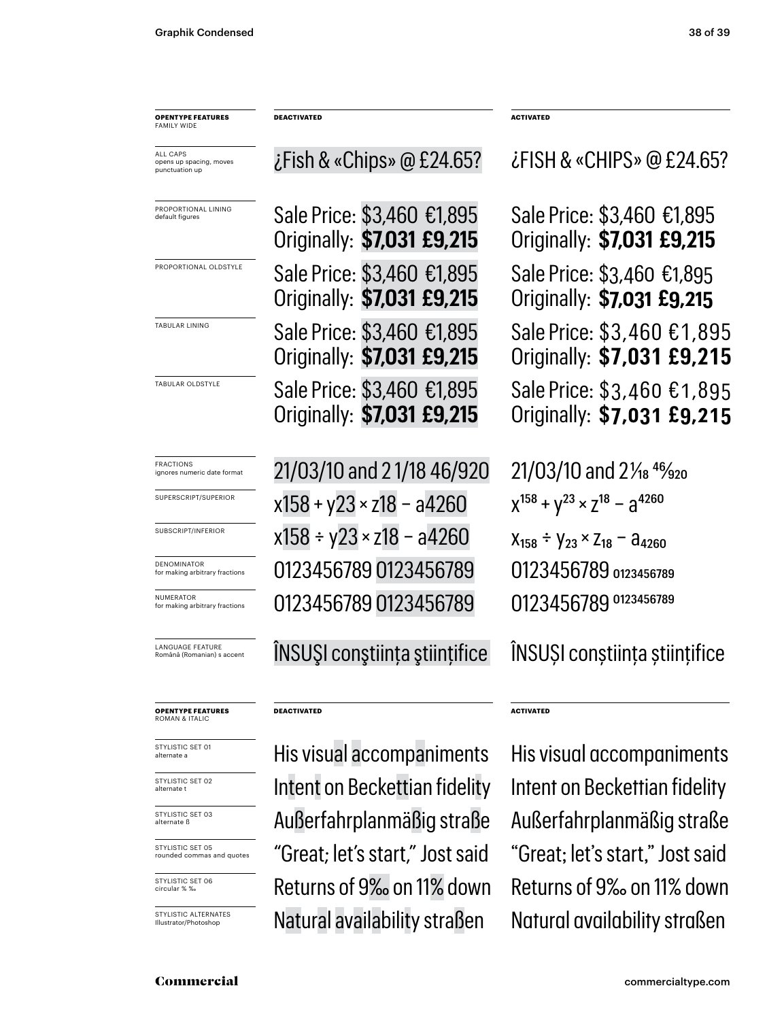| <b>OPENTYPE FEATURES</b><br><b>FAMILY WIDE</b>        | <b>DEACTIVATED</b>                                       | <b>ACTIVATED</b>                                         |
|-------------------------------------------------------|----------------------------------------------------------|----------------------------------------------------------|
| ALL CAPS<br>opens up spacing, moves<br>punctuation up | $\zeta$ Fish & «Chips» @ £24.65?                         | $\lambda$ FISH & «CHIPS» @ £24.65?                       |
| PROPORTIONAL LINING<br>default figures                | Sale Price: \$3,460 €1,895<br>Originally: \$7,031 £9,215 | Sale Price: \$3,460 €1,895<br>Originally: \$7,031 £9,215 |
| PROPORTIONAL OLDSTYLE                                 | Sale Price: \$3,460 €1,895<br>Originally: \$7,031 £9,215 | Sale Price: \$3,460 €1,895<br>Originally: \$7,031 £9,215 |
| TABULAR LINING                                        | Sale Price: \$3,460 €1,895<br>Originally: \$7,031 £9,215 | Sale Price: \$3,460 €1,895<br>Originally: \$7,031 £9,215 |
| TABULAR OLDSTYLE                                      | Sale Price: \$3,460 €1,895<br>Originally: \$7,031 £9,215 | Sale Price: \$3,460 €1,895<br>Originally: \$7,031 £9,215 |
| FRACTIONS<br>ignores numeric date format              | 21/03/10 and 21/18 46/920                                | $21/03/10$ and $2\frac{1}{8}$ $4\frac{6}{20}$            |
| SUPERSCRIPT/SUPERIOR                                  | $x158 + y23 \times z18 - a4260$                          | $X^{158} + Y^{23} \times Z^{18} - Z^{4260}$              |
| SUBSCRIPT/INFERIOR                                    | x158 ÷ y23 × z18 - a4260                                 | $X_{158} \div Y_{23} \times Z_{18} - A_{4260}$           |
| DENOMINATOR<br>for making arbitrary fractions         | 0123456789 0123456789                                    | 0123456789 0123456789                                    |
| NUMERATOR<br>for making arbitrary fractions           | 0123456789 0123456789                                    | 0123456789 0123456789                                    |
| <b>LANGUAGE FEATURE</b><br>Română (Romanian) s accent | <b>INSUSI constiința științifice</b>                     | <b>INSUSI</b> constiința științifice                     |
| <b>OPENTYPE FEATURES</b><br>ROMAN & ITALIC            | <b>DEACTIVATED</b>                                       | <b>ACTIVATED</b>                                         |
| STYLISTIC SET 01<br>alternate a                       | His visual accompaniments                                | His visual accompaniments                                |
| STYLISTIC SET 02<br>alternate t                       | Intent on Beckettian fidelity                            | Intent on Beckettian fidelity                            |
| STYLISTIC SET 03<br>alternate ß                       | Außerfahrnlanmäßig straße                                | Außerfahrnlanmäßig straße                                |

rounded commas and quotes

STYLISTIC SET 05

STYLISTIC SET 06 circular % ‰

STYLISTIC ALTERNATES Illustrator/Photoshop

"Great; let's start," Jost said "Great; let's start," Jost said Natural availability straßen Natural availability straßen

Außerfahrplanmäßig straße Außerfahrplanmäßig straße Returns of 9‰ on 11% down Returns of 9‰ on 11% down